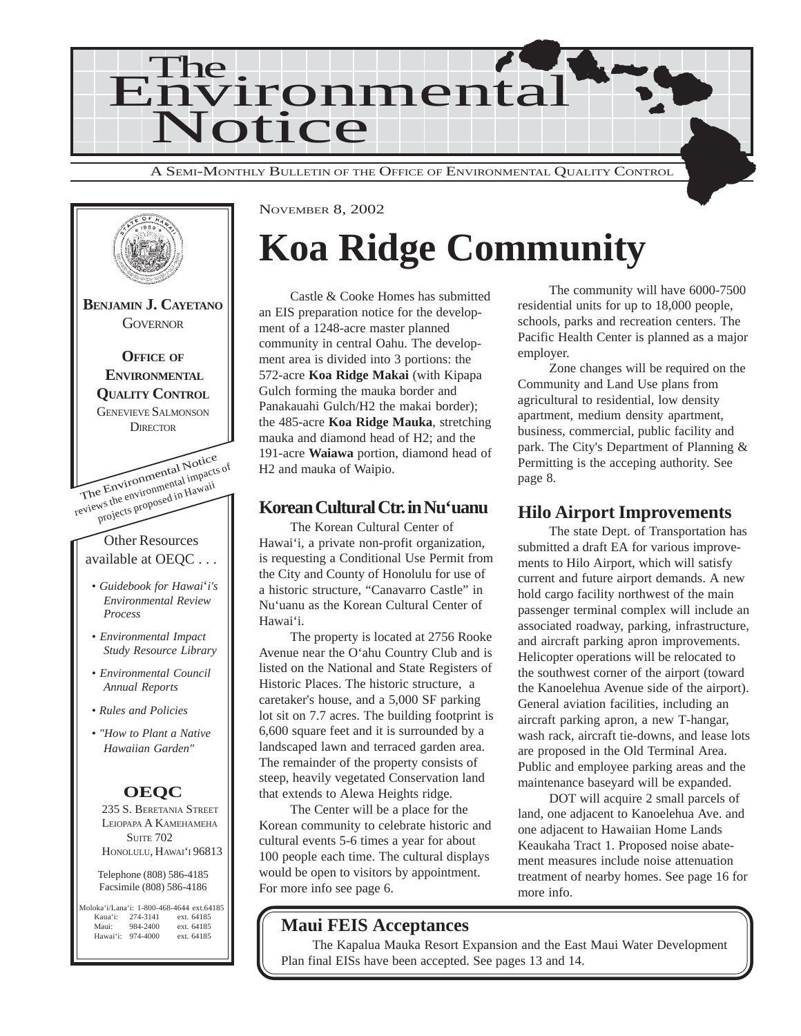



## **Koa Ridge Community**

Castle & Cooke Homes has submitted an EIS preparation notice for the development of a 1248-acre master planned community in central Oahu. The development area is divided into 3 portions: the 572-acre **Koa Ridge Makai** (with Kipapa Gulch forming the mauka border and Panakauahi Gulch/H2 the makai border); the 485-acre **Koa Ridge Mauka**, stretching mauka and diamond head of H2; and the 191-acre **Waiawa** portion, diamond head of H2 and mauka of Waipio.

#### **Korean Cultural Ctr. in Nu'uanu**

The Korean Cultural Center of Hawai'i, a private non-profit organization, is requesting a Conditional Use Permit from the City and County of Honolulu for use of a historic structure, "Canavarro Castle" in Nu'uanu as the Korean Cultural Center of Hawai'i.

The property is located at 2756 Rooke Avenue near the O'ahu Country Club and is listed on the National and State Registers of Historic Places. The historic structure, a caretaker's house, and a 5,000 SF parking lot sit on 7.7 acres. The building footprint is 6,600 square feet and it is surrounded by a landscaped lawn and terraced garden area. The remainder of the property consists of steep, heavily vegetated Conservation land that extends to Alewa Heights ridge.

The Center will be a place for the Korean community to celebrate historic and cultural events 5-6 times a year for about 100 people each time. The cultural displays would be open to visitors by appointment. For more info see page 6.

#### **Maui FEIS Acceptances**

The Kapalua Mauka Resort Expansion and the East Maui Water Development Plan final EISs have been accepted. See pages 13 and 14.

The community will have 6000-7500 residential units for up to 18,000 people, schools, parks and recreation centers. The Pacific Health Center is planned as a major employer.

Zone changes will be required on the Community and Land Use plans from agricultural to residential, low density apartment, medium density apartment, business, commercial, public facility and park. The City's Department of Planning & Permitting is the acceping authority. See page 8.

### **Hilo Airport Improvements**

The state Dept. of Transportation has submitted a draft EA for various improvements to Hilo Airport, which will satisfy current and future airport demands. A new hold cargo facility northwest of the main passenger terminal complex will include an associated roadway, parking, infrastructure, and aircraft parking apron improvements. Helicopter operations will be relocated to the southwest corner of the airport (toward the Kanoelehua Avenue side of the airport). General aviation facilities, including an aircraft parking apron, a new T-hangar, wash rack, aircraft tie-downs, and lease lots are proposed in the Old Terminal Area. Public and employee parking areas and the maintenance baseyard will be expanded.

DOT will acquire 2 small parcels of land, one adjacent to Kanoelehua Ave. and one adjacent to Hawaiian Home Lands Keaukaha Tract 1. Proposed noise abatement measures include noise attenuation treatment of nearby homes. See page 16 for more info.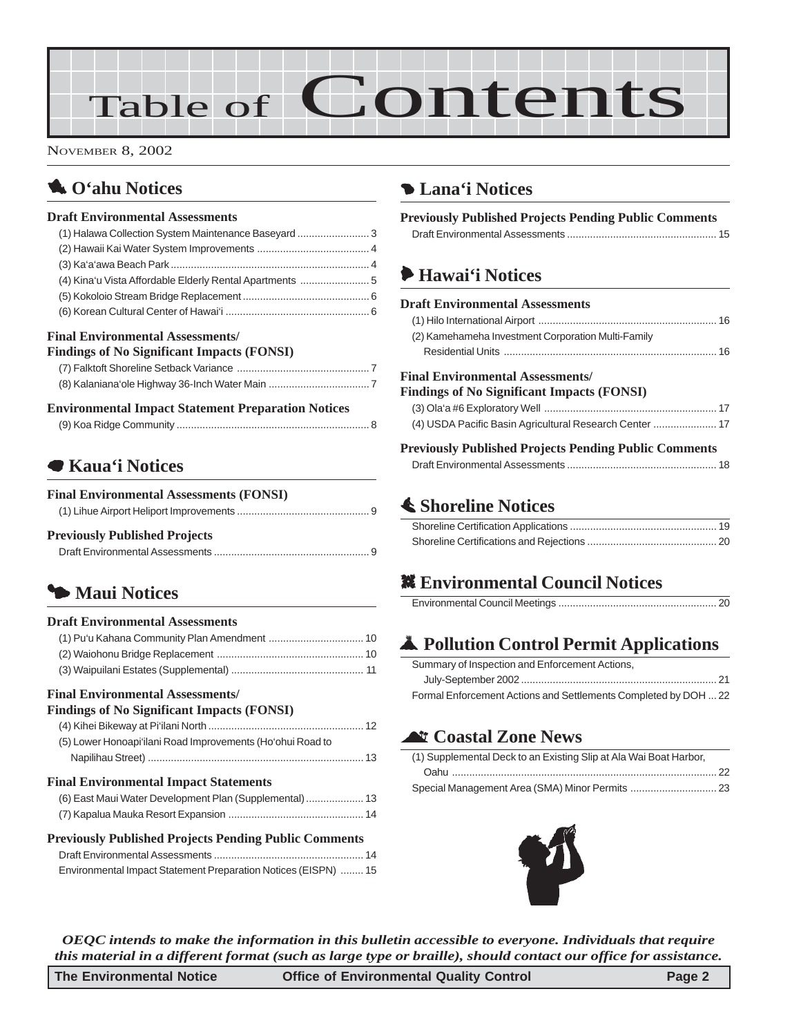# Table of Contents

NOVEMBER 8, 2002

## 1 **O'ahu Notices**

#### **Draft Environmental Assessments**

| (1) Halawa Collection System Maintenance Baseyard 3                                   |  |
|---------------------------------------------------------------------------------------|--|
|                                                                                       |  |
|                                                                                       |  |
|                                                                                       |  |
|                                                                                       |  |
|                                                                                       |  |
| <b>Final Environmental Assessments/</b><br>Findings of No Clanificant Impacts (FONSI) |  |

| THROUGH THE DIGITION OF THE THE REAL PROPERTY |  |
|-----------------------------------------------|--|
|                                               |  |
|                                               |  |

#### **Environmental Impact Statement Preparation Notices**

### 7 **Kaua'i Notices**

| <b>Final Environmental Assessments (FONSI)</b> |  |
|------------------------------------------------|--|
|                                                |  |
| <b>Previously Published Projects</b>           |  |
|                                                |  |

## 3 **[Maui Notices](#page-9-0)**

#### **Draft Environmental Assessments**

#### **Final Environmental Assessments/**

| <b>Findings of No Significant Impacts (FONSI)</b>              |  |
|----------------------------------------------------------------|--|
|                                                                |  |
| (5) Lower Honoapi'ilani Road Improvements (Ho'ohui Road to     |  |
|                                                                |  |
| <b>Final Environmental Impact Statements</b>                   |  |
| (6) East Maui Water Development Plan (Supplemental)  13        |  |
|                                                                |  |
| <b>Previously Published Projects Pending Public Comments</b>   |  |
|                                                                |  |
| Environmental Impact Statement Preparation Notices (EISPN)  15 |  |

## 4 **Lana'i Notices**

| <b>Previously Published Projects Pending Public Comments</b> |  |
|--------------------------------------------------------------|--|
|                                                              |  |

## 6 **Hawai'i Notices**

| <b>Draft Environmental Assessments</b>                                                       |  |
|----------------------------------------------------------------------------------------------|--|
|                                                                                              |  |
| (2) Kamehameha Investment Corporation Multi-Family                                           |  |
|                                                                                              |  |
| <b>Final Environmental Assessments/</b><br><b>Findings of No Significant Impacts (FONSI)</b> |  |
|                                                                                              |  |
| (4) USDA Pacific Basin Agricultural Research Center  17                                      |  |
| <b>Previously Published Projects Pending Public Comments</b>                                 |  |

## s **Shoreline Notices**

[Draft Environmental Assessments .................................................... 18](#page-17-0)

## **. Environmental Council Notices**

## V **Pollution Control Permit Applications**

| Summary of Inspection and Enforcement Actions,                  |
|-----------------------------------------------------------------|
|                                                                 |
| Formal Enforcement Actions and Settlements Completed by DOH  22 |

## ^ **Coastal Zone News**

| (1) Supplemental Deck to an Existing Slip at Ala Wai Boat Harbor, |  |
|-------------------------------------------------------------------|--|
|                                                                   |  |
|                                                                   |  |



*OEQC intends to make the information in this bulletin accessible to everyone. Individuals that require this material in a different format (such as large type or braille), should contact our office for assistance.*

| <b>The Environmental Notice</b> | <b>Office of Environmental Quality Control</b> | Page 2 |
|---------------------------------|------------------------------------------------|--------|
|---------------------------------|------------------------------------------------|--------|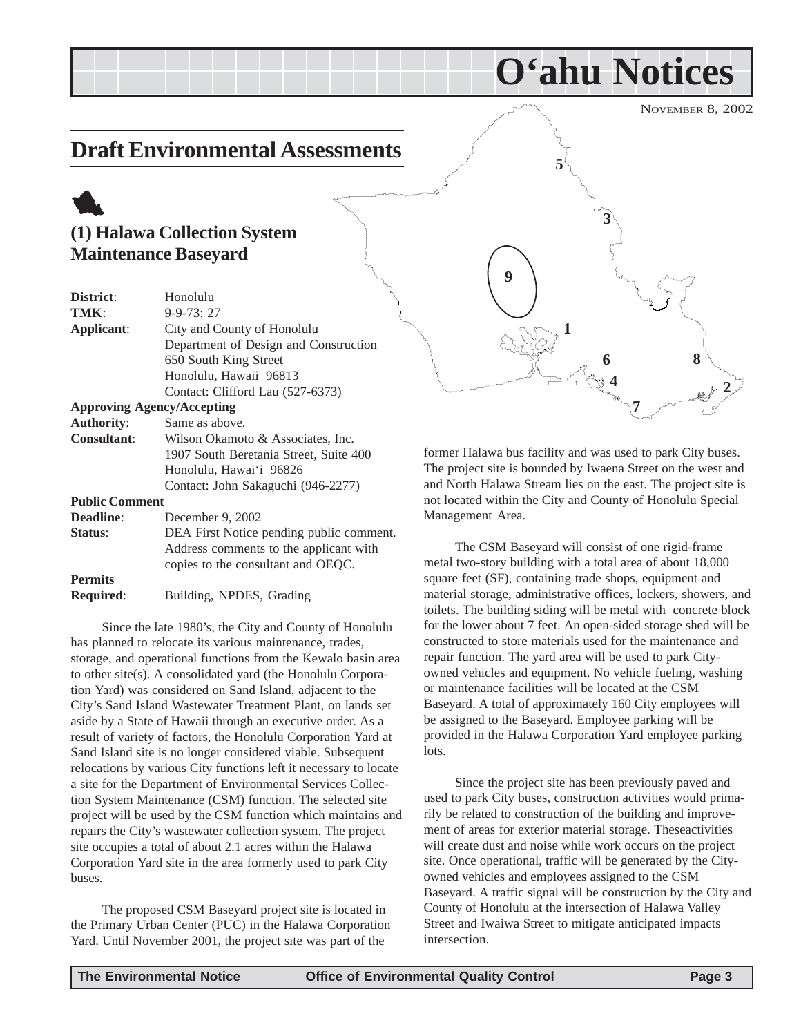## <span id="page-2-0"></span>**Draft Environmental Assessments**

## 1 **(1) Halawa Collection System Maintenance Baseyard**

| District:             | Honolulu                                 |  |
|-----------------------|------------------------------------------|--|
| TMK:                  | $9 - 9 - 73:27$                          |  |
| Applicant:            | City and County of Honolulu              |  |
|                       | Department of Design and Construction    |  |
|                       | 650 South King Street                    |  |
|                       | Honolulu, Hawaii 96813                   |  |
|                       | Contact: Clifford Lau (527-6373)         |  |
|                       | <b>Approving Agency/Accepting</b>        |  |
| <b>Authority:</b>     | Same as above.                           |  |
| <b>Consultant:</b>    | Wilson Okamoto & Associates, Inc.        |  |
|                       | 1907 South Beretania Street, Suite 400   |  |
|                       | Honolulu, Hawai'i 96826                  |  |
|                       | Contact: John Sakaguchi (946-2277)       |  |
| <b>Public Comment</b> |                                          |  |
| <b>Deadline:</b>      | December 9, 2002                         |  |
| Status:               | DEA First Notice pending public comment. |  |
|                       | Address comments to the applicant with   |  |
|                       | copies to the consultant and OEQC.       |  |
|                       |                                          |  |

**Permits Required**: Building, NPDES, Grading

Since the late 1980's, the City and County of Honolulu has planned to relocate its various maintenance, trades, storage, and operational functions from the Kewalo basin area to other site(s). A consolidated yard (the Honolulu Corporation Yard) was considered on Sand Island, adjacent to the City's Sand Island Wastewater Treatment Plant, on lands set aside by a State of Hawaii through an executive order. As a result of variety of factors, the Honolulu Corporation Yard at Sand Island site is no longer considered viable. Subsequent relocations by various City functions left it necessary to locate a site for the Department of Environmental Services Collection System Maintenance (CSM) function. The selected site project will be used by the CSM function which maintains and repairs the City's wastewater collection system. The project site occupies a total of about 2.1 acres within the Halawa Corporation Yard site in the area formerly used to park City buses.

The proposed CSM Baseyard project site is located in the Primary Urban Center (PUC) in the Halawa Corporation Yard. Until November 2001, the project site was part of the

**2 5 6 7 1 3 4 8 9**

**O'ahu Notices**

former Halawa bus facility and was used to park City buses. The project site is bounded by Iwaena Street on the west and and North Halawa Stream lies on the east. The project site is not located within the City and County of Honolulu Special Management Area.

The CSM Baseyard will consist of one rigid-frame metal two-story building with a total area of about 18,000 square feet (SF), containing trade shops, equipment and material storage, administrative offices, lockers, showers, and toilets. The building siding will be metal with concrete block for the lower about 7 feet. An open-sided storage shed will be constructed to store materials used for the maintenance and repair function. The yard area will be used to park Cityowned vehicles and equipment. No vehicle fueling, washing or maintenance facilities will be located at the CSM Baseyard. A total of approximately 160 City employees will be assigned to the Baseyard. Employee parking will be provided in the Halawa Corporation Yard employee parking lots.

Since the project site has been previously paved and used to park City buses, construction activities would primarily be related to construction of the building and improvement of areas for exterior material storage. Theseactivities will create dust and noise while work occurs on the project site. Once operational, traffic will be generated by the Cityowned vehicles and employees assigned to the CSM Baseyard. A traffic signal will be construction by the City and County of Honolulu at the intersection of Halawa Valley Street and Iwaiwa Street to mitigate anticipated impacts intersection.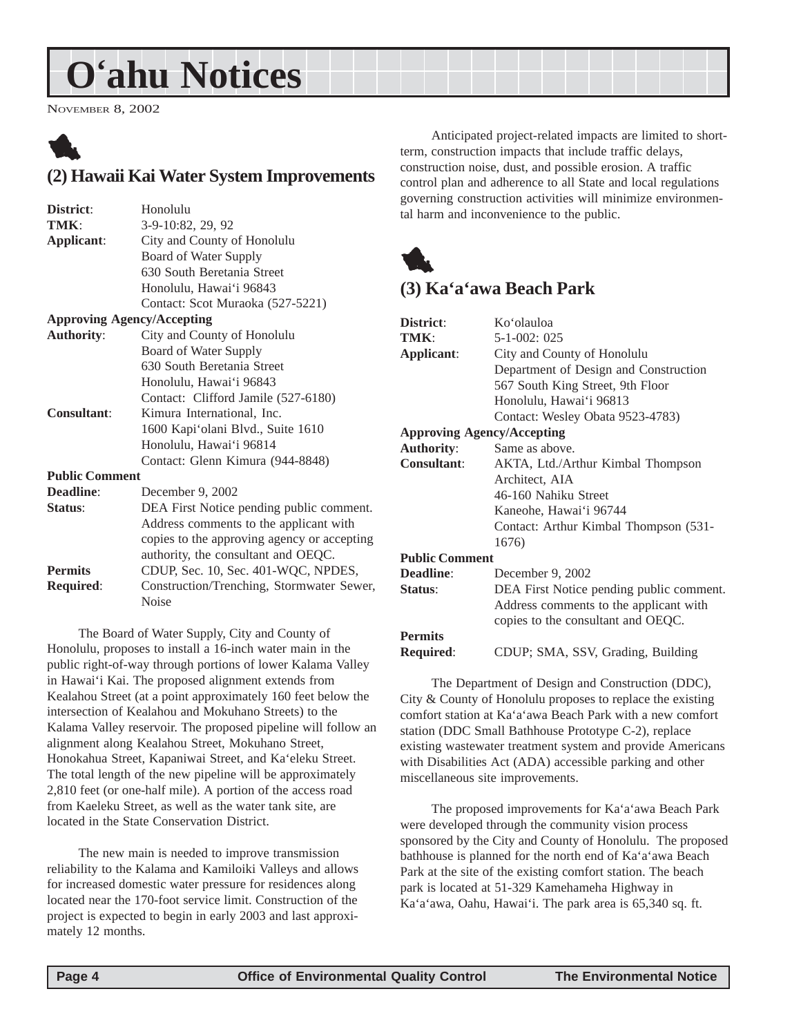## <span id="page-3-0"></span>**O'ahu Notices**

NOVEMBER 8, 2002



## **(2) Hawaii Kai Water System Improvements**

| District:             | Honolulu                                    |
|-----------------------|---------------------------------------------|
| TMK:                  | 3-9-10:82, 29, 92                           |
| Applicant:            | City and County of Honolulu                 |
|                       | Board of Water Supply                       |
|                       | 630 South Beretania Street                  |
|                       | Honolulu, Hawai'i 96843                     |
|                       | Contact: Scot Muraoka (527-5221)            |
|                       | <b>Approving Agency/Accepting</b>           |
| <b>Authority:</b>     | City and County of Honolulu                 |
|                       | Board of Water Supply                       |
|                       | 630 South Beretania Street                  |
|                       | Honolulu, Hawai'i 96843                     |
|                       | Contact: Clifford Jamile (527-6180)         |
| <b>Consultant:</b>    | Kimura International, Inc.                  |
|                       | 1600 Kapi'olani Blvd., Suite 1610           |
|                       | Honolulu, Hawai'i 96814                     |
|                       | Contact: Glenn Kimura (944-8848)            |
| <b>Public Comment</b> |                                             |
| Deadline:             | December 9, 2002                            |
| Status:               | DEA First Notice pending public comment.    |
|                       | Address comments to the applicant with      |
|                       | copies to the approving agency or accepting |
|                       | authority, the consultant and OEQC.         |
| <b>Permits</b>        | CDUP, Sec. 10, Sec. 401-WQC, NPDES,         |
| <b>Required:</b>      | Construction/Trenching, Stormwater Sewer,   |
|                       | <b>Noise</b>                                |

The Board of Water Supply, City and County of Honolulu, proposes to install a 16-inch water main in the public right-of-way through portions of lower Kalama Valley in Hawai'i Kai. The proposed alignment extends from Kealahou Street (at a point approximately 160 feet below the intersection of Kealahou and Mokuhano Streets) to the Kalama Valley reservoir. The proposed pipeline will follow an alignment along Kealahou Street, Mokuhano Street, Honokahua Street, Kapaniwai Street, and Ka'eleku Street. The total length of the new pipeline will be approximately 2,810 feet (or one-half mile). A portion of the access road from Kaeleku Street, as well as the water tank site, are located in the State Conservation District.

The new main is needed to improve transmission reliability to the Kalama and Kamiloiki Valleys and allows for increased domestic water pressure for residences along located near the 170-foot service limit. Construction of the project is expected to begin in early 2003 and last approximately 12 months.

Anticipated project-related impacts are limited to shortterm, construction impacts that include traffic delays, construction noise, dust, and possible erosion. A traffic control plan and adherence to all State and local regulations governing construction activities will minimize environmental harm and inconvenience to the public.



## **(3) Ka'a'awa Beach Park**

| District:             | Ko'olauloa                               |
|-----------------------|------------------------------------------|
| TMK:                  | $5-1-002:025$                            |
| Applicant:            | City and County of Honolulu              |
|                       | Department of Design and Construction    |
|                       | 567 South King Street, 9th Floor         |
|                       | Honolulu, Hawai'i 96813                  |
|                       | Contact: Wesley Obata 9523-4783)         |
|                       | <b>Approving Agency/Accepting</b>        |
| <b>Authority:</b>     | Same as above.                           |
| <b>Consultant:</b>    | AKTA, Ltd./Arthur Kimbal Thompson        |
|                       | Architect, AIA                           |
|                       | 46-160 Nahiku Street                     |
|                       | Kaneohe, Hawai'i 96744                   |
|                       | Contact: Arthur Kimbal Thompson (531-    |
|                       | 1676)                                    |
| <b>Public Comment</b> |                                          |
| <b>Deadline:</b>      | December 9, 2002                         |
| Status:               | DEA First Notice pending public comment. |
|                       | Address comments to the applicant with   |
|                       | copies to the consultant and OEQC.       |
| <b>Permits</b>        |                                          |
| <b>Required:</b>      | CDUP; SMA, SSV, Grading, Building        |

The Department of Design and Construction (DDC), City & County of Honolulu proposes to replace the existing comfort station at Ka'a'awa Beach Park with a new comfort station (DDC Small Bathhouse Prototype C-2), replace existing wastewater treatment system and provide Americans with Disabilities Act (ADA) accessible parking and other miscellaneous site improvements.

The proposed improvements for Ka'a'awa Beach Park were developed through the community vision process sponsored by the City and County of Honolulu. The proposed bathhouse is planned for the north end of Ka'a'awa Beach Park at the site of the existing comfort station. The beach park is located at 51-329 Kamehameha Highway in Ka'a'awa, Oahu, Hawai'i. The park area is 65,340 sq. ft.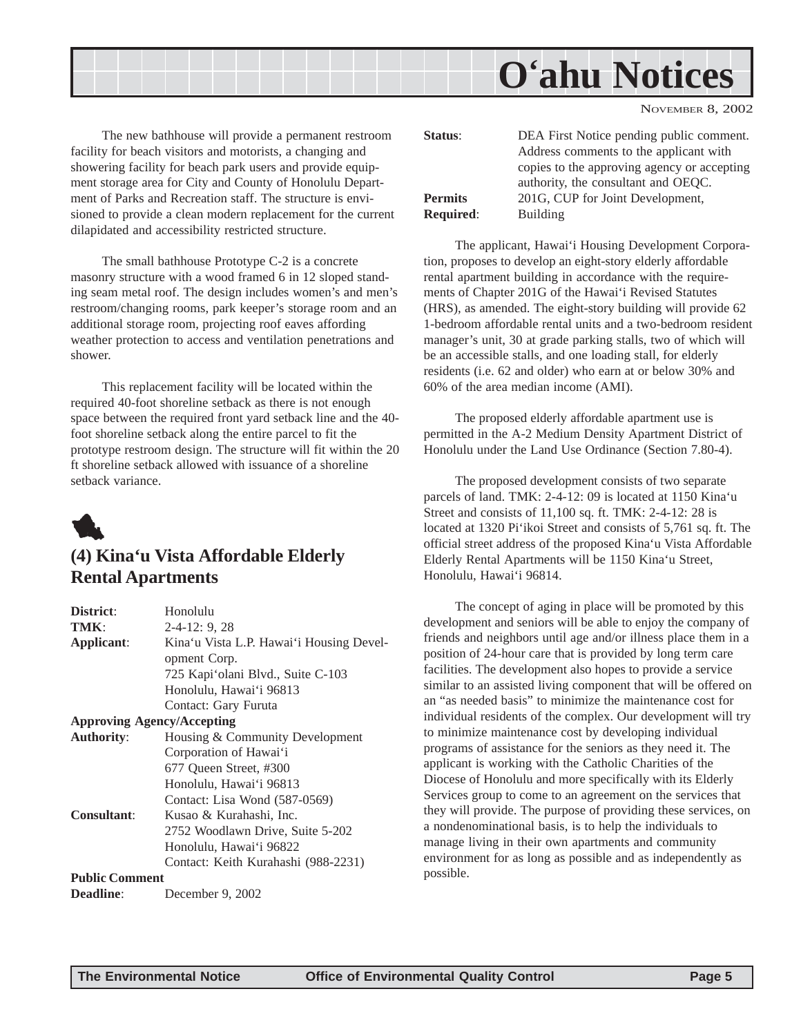<span id="page-4-0"></span>

The new bathhouse will provide a permanent restroom facility for beach visitors and motorists, a changing and showering facility for beach park users and provide equipment storage area for City and County of Honolulu Department of Parks and Recreation staff. The structure is envisioned to provide a clean modern replacement for the current dilapidated and accessibility restricted structure.

The small bathhouse Prototype C-2 is a concrete masonry structure with a wood framed 6 in 12 sloped standing seam metal roof. The design includes women's and men's restroom/changing rooms, park keeper's storage room and an additional storage room, projecting roof eaves affording weather protection to access and ventilation penetrations and shower.

This replacement facility will be located within the required 40-foot shoreline setback as there is not enough space between the required front yard setback line and the 40 foot shoreline setback along the entire parcel to fit the prototype restroom design. The structure will fit within the 20 ft shoreline setback allowed with issuance of a shoreline setback variance.



### **(4) Kina'u Vista Affordable Elderly Rental Apartments**

| District:             | Honolulu                                 |
|-----------------------|------------------------------------------|
| TMK:                  | $2-4-12:9,28$                            |
| Applicant:            | Kina'u Vista L.P. Hawai'i Housing Devel- |
|                       | opment Corp.                             |
|                       | 725 Kapi'olani Blvd., Suite C-103        |
|                       | Honolulu, Hawai'i 96813                  |
|                       | Contact: Gary Furuta                     |
|                       | <b>Approving Agency/Accepting</b>        |
| <b>Authority:</b>     | Housing & Community Development          |
|                       | Corporation of Hawai'i                   |
|                       | 677 Queen Street, #300                   |
|                       | Honolulu, Hawai'i 96813                  |
|                       | Contact: Lisa Wond (587-0569)            |
| <b>Consultant:</b>    | Kusao & Kurahashi, Inc.                  |
|                       | 2752 Woodlawn Drive, Suite 5-202         |
|                       | Honolulu, Hawai'i 96822                  |
|                       | Contact: Keith Kurahashi (988-2231)      |
| <b>Public Comment</b> |                                          |
| <b>Deadline:</b>      | December 9, 2002                         |

| Status:          | DEA First Notice pending public comment.<br>Address comments to the applicant with<br>copies to the approving agency or accepting<br>authority, the consultant and OEQC. |
|------------------|--------------------------------------------------------------------------------------------------------------------------------------------------------------------------|
| <b>Permits</b>   | 201G, CUP for Joint Development,                                                                                                                                         |
| <b>Required:</b> | Building                                                                                                                                                                 |

The applicant, Hawai'i Housing Development Corporation, proposes to develop an eight-story elderly affordable rental apartment building in accordance with the requirements of Chapter 201G of the Hawai'i Revised Statutes (HRS), as amended. The eight-story building will provide 62 1-bedroom affordable rental units and a two-bedroom resident manager's unit, 30 at grade parking stalls, two of which will be an accessible stalls, and one loading stall, for elderly residents (i.e. 62 and older) who earn at or below 30% and 60% of the area median income (AMI).

The proposed elderly affordable apartment use is permitted in the A-2 Medium Density Apartment District of Honolulu under the Land Use Ordinance (Section 7.80-4).

The proposed development consists of two separate parcels of land. TMK: 2-4-12: 09 is located at 1150 Kina'u Street and consists of 11,100 sq. ft. TMK: 2-4-12: 28 is located at 1320 Pi'ikoi Street and consists of 5,761 sq. ft. The official street address of the proposed Kina'u Vista Affordable Elderly Rental Apartments will be 1150 Kina'u Street, Honolulu, Hawai'i 96814.

The concept of aging in place will be promoted by this development and seniors will be able to enjoy the company of friends and neighbors until age and/or illness place them in a position of 24-hour care that is provided by long term care facilities. The development also hopes to provide a service similar to an assisted living component that will be offered on an "as needed basis" to minimize the maintenance cost for individual residents of the complex. Our development will try to minimize maintenance cost by developing individual programs of assistance for the seniors as they need it. The applicant is working with the Catholic Charities of the Diocese of Honolulu and more specifically with its Elderly Services group to come to an agreement on the services that they will provide. The purpose of providing these services, on a nondenominational basis, is to help the individuals to manage living in their own apartments and community environment for as long as possible and as independently as possible.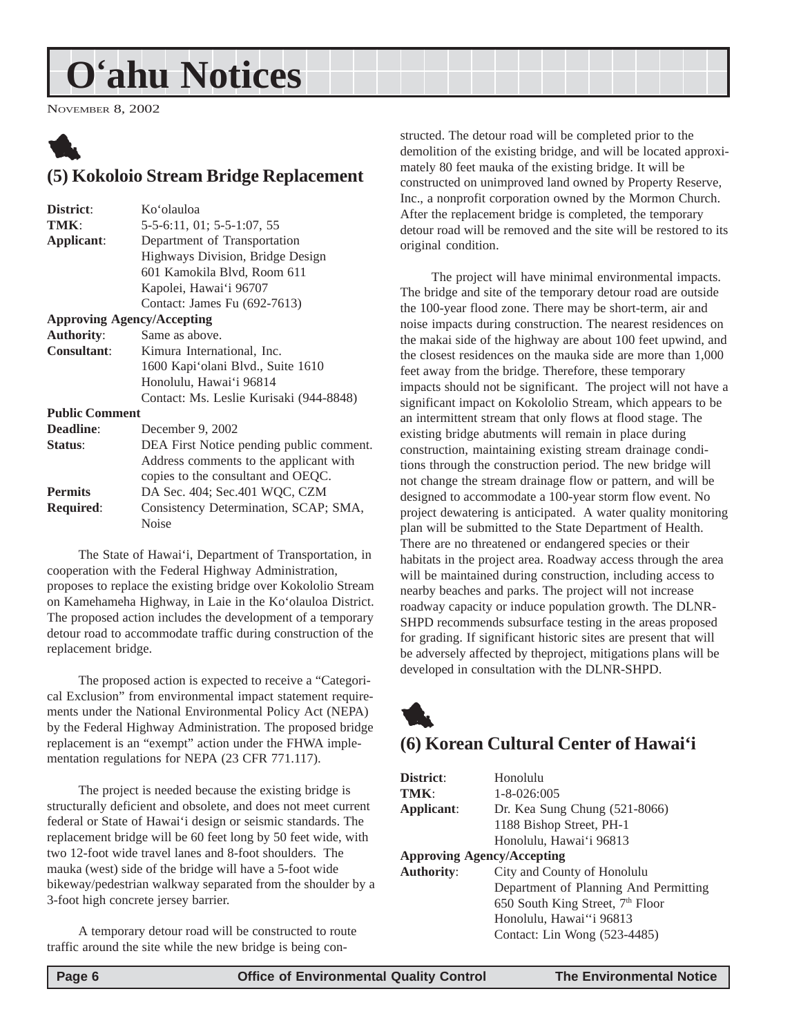## <span id="page-5-0"></span>**O'ahu Notices**

NOVEMBER 8, 2002



### **(5) Kokoloio Stream Bridge Replacement**

| District:             | Ko'olauloa                               |
|-----------------------|------------------------------------------|
| TMK:                  | 5-5-6:11, 01; 5-5-1:07, 55               |
| Applicant:            | Department of Transportation             |
|                       | Highways Division, Bridge Design         |
|                       | 601 Kamokila Blvd, Room 611              |
|                       | Kapolei, Hawai'i 96707                   |
|                       | Contact: James Fu (692-7613)             |
|                       | <b>Approving Agency/Accepting</b>        |
| <b>Authority:</b>     | Same as above.                           |
| <b>Consultant:</b>    | Kimura International, Inc.               |
|                       | 1600 Kapi'olani Blvd., Suite 1610        |
|                       | Honolulu, Hawai'i 96814                  |
|                       | Contact: Ms. Leslie Kurisaki (944-8848)  |
| <b>Public Comment</b> |                                          |
| <b>Deadline:</b>      | December 9, 2002                         |
| <b>Status:</b>        | DEA First Notice pending public comment. |
|                       | Address comments to the applicant with   |
|                       | copies to the consultant and OEQC.       |
| <b>Permits</b>        | DA Sec. 404; Sec. 401 WQC, CZM           |
| <b>Required:</b>      | Consistency Determination, SCAP; SMA,    |
|                       | Noise                                    |
|                       |                                          |

The State of Hawai'i, Department of Transportation, in cooperation with the Federal Highway Administration, proposes to replace the existing bridge over Kokololio Stream on Kamehameha Highway, in Laie in the Ko'olauloa District. The proposed action includes the development of a temporary detour road to accommodate traffic during construction of the replacement bridge.

The proposed action is expected to receive a "Categorical Exclusion" from environmental impact statement requirements under the National Environmental Policy Act (NEPA) by the Federal Highway Administration. The proposed bridge replacement is an "exempt" action under the FHWA implementation regulations for NEPA (23 CFR 771.117).

The project is needed because the existing bridge is structurally deficient and obsolete, and does not meet current federal or State of Hawai'i design or seismic standards. The replacement bridge will be 60 feet long by 50 feet wide, with two 12-foot wide travel lanes and 8-foot shoulders. The mauka (west) side of the bridge will have a 5-foot wide bikeway/pedestrian walkway separated from the shoulder by a 3-foot high concrete jersey barrier.

A temporary detour road will be constructed to route traffic around the site while the new bridge is being constructed. The detour road will be completed prior to the demolition of the existing bridge, and will be located approximately 80 feet mauka of the existing bridge. It will be constructed on unimproved land owned by Property Reserve, Inc., a nonprofit corporation owned by the Mormon Church. After the replacement bridge is completed, the temporary detour road will be removed and the site will be restored to its original condition.

The project will have minimal environmental impacts. The bridge and site of the temporary detour road are outside the 100-year flood zone. There may be short-term, air and noise impacts during construction. The nearest residences on the makai side of the highway are about 100 feet upwind, and the closest residences on the mauka side are more than 1,000 feet away from the bridge. Therefore, these temporary impacts should not be significant. The project will not have a significant impact on Kokololio Stream, which appears to be an intermittent stream that only flows at flood stage. The existing bridge abutments will remain in place during construction, maintaining existing stream drainage conditions through the construction period. The new bridge will not change the stream drainage flow or pattern, and will be designed to accommodate a 100-year storm flow event. No project dewatering is anticipated. A water quality monitoring plan will be submitted to the State Department of Health. There are no threatened or endangered species or their habitats in the project area. Roadway access through the area will be maintained during construction, including access to nearby beaches and parks. The project will not increase roadway capacity or induce population growth. The DLNR-SHPD recommends subsurface testing in the areas proposed for grading. If significant historic sites are present that will be adversely affected by theproject, mitigations plans will be developed in consultation with the DLNR-SHPD.



### **(6) Korean Cultural Center of Hawai'i**

**District**: Honolulu **TMK**: 1-8-026:005 **Applicant**: Dr. Kea Sung Chung (521-8066) 1188 Bishop Street, PH-1 Honolulu, Hawai'i 96813 **Approving Agency/Accepting Authority**: City and County of Honolulu Department of Planning And Permitting 650 South King Street,  $7<sup>th</sup>$  Floor Honolulu, Hawai''i 96813 Contact: Lin Wong (523-4485)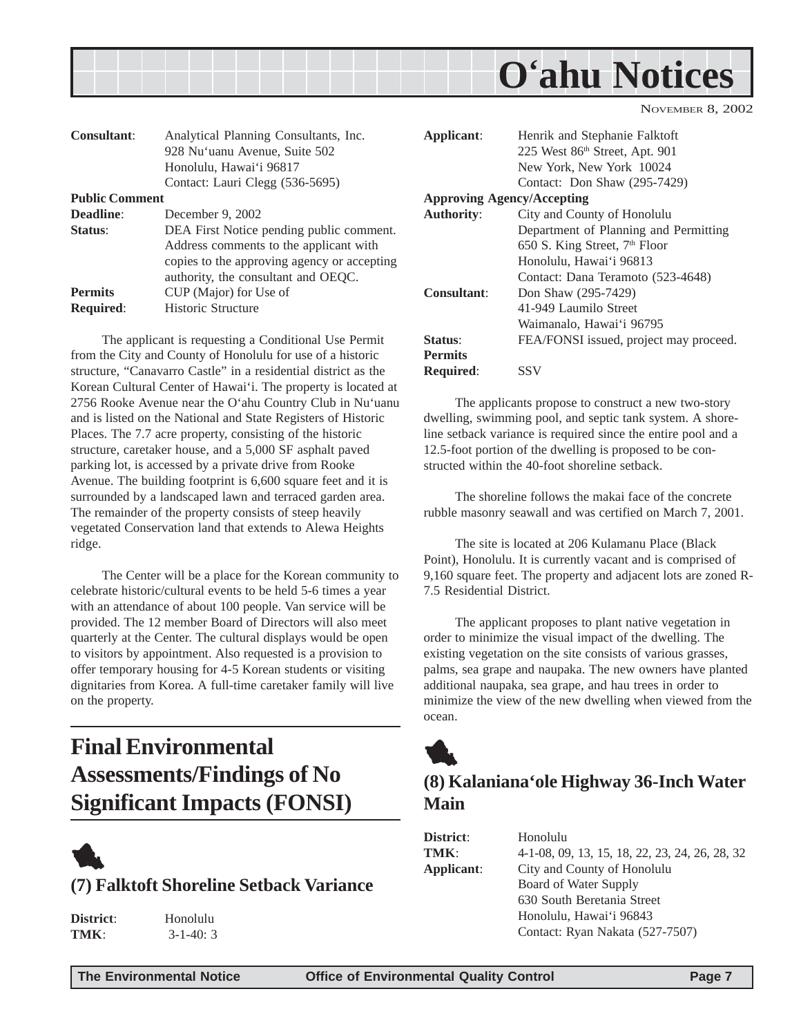<span id="page-6-0"></span>

| Consultant:           | Analytical Planning Consultants, Inc.       |
|-----------------------|---------------------------------------------|
|                       | 928 Nu'uanu Avenue, Suite 502               |
|                       | Honolulu, Hawai'i 96817                     |
|                       | Contact: Lauri Clegg (536-5695)             |
| <b>Public Comment</b> |                                             |
| Deadline:             | December 9, 2002                            |
| Status:               | DEA First Notice pending public comment.    |
|                       | Address comments to the applicant with      |
|                       | copies to the approving agency or accepting |
|                       | authority, the consultant and OEQC.         |
| <b>Permits</b>        | CUP (Major) for Use of                      |
| <b>Required:</b>      | Historic Structure                          |

The applicant is requesting a Conditional Use Permit from the City and County of Honolulu for use of a historic structure, "Canavarro Castle" in a residential district as the Korean Cultural Center of Hawai'i. The property is located at 2756 Rooke Avenue near the O'ahu Country Club in Nu'uanu and is listed on the National and State Registers of Historic Places. The 7.7 acre property, consisting of the historic structure, caretaker house, and a 5,000 SF asphalt paved parking lot, is accessed by a private drive from Rooke Avenue. The building footprint is 6,600 square feet and it is surrounded by a landscaped lawn and terraced garden area. The remainder of the property consists of steep heavily vegetated Conservation land that extends to Alewa Heights ridge.

The Center will be a place for the Korean community to celebrate historic/cultural events to be held 5-6 times a year with an attendance of about 100 people. Van service will be provided. The 12 member Board of Directors will also meet quarterly at the Center. The cultural displays would be open to visitors by appointment. Also requested is a provision to offer temporary housing for 4-5 Korean students or visiting dignitaries from Korea. A full-time caretaker family will live on the property.

## **Final Environmental Assessments/Findings of No Significant Impacts (FONSI)**



#### **(7) Falktoft Shoreline Setback Variance**

| District: |  |
|-----------|--|
| TMK:      |  |

**District**: Honolulu **TMK**: 3-1-40: 3

| Applicant:                        | Henrik and Stephanie Falktoft             |
|-----------------------------------|-------------------------------------------|
|                                   | 225 West 86th Street, Apt. 901            |
|                                   | New York, New York 10024                  |
|                                   | Contact: Don Shaw (295-7429)              |
| <b>Approving Agency/Accepting</b> |                                           |
| <b>Authority:</b>                 | City and County of Honolulu               |
|                                   | Department of Planning and Permitting     |
|                                   | 650 S. King Street, 7 <sup>th</sup> Floor |
|                                   | Honolulu, Hawai'i 96813                   |
|                                   | Contact: Dana Teramoto (523-4648)         |
| Consultant:                       | Don Shaw (295-7429)                       |
|                                   | 41-949 Laumilo Street                     |
|                                   | Waimanalo, Hawai'i 96795                  |
| Status:                           | FEA/FONSI issued, project may proceed.    |
| <b>Permits</b>                    |                                           |
| <b>Required:</b>                  | SSV                                       |
|                                   |                                           |

The applicants propose to construct a new two-story dwelling, swimming pool, and septic tank system. A shoreline setback variance is required since the entire pool and a 12.5-foot portion of the dwelling is proposed to be constructed within the 40-foot shoreline setback.

The shoreline follows the makai face of the concrete rubble masonry seawall and was certified on March 7, 2001.

The site is located at 206 Kulamanu Place (Black Point), Honolulu. It is currently vacant and is comprised of 9,160 square feet. The property and adjacent lots are zoned R-7.5 Residential District.

The applicant proposes to plant native vegetation in order to minimize the visual impact of the dwelling. The existing vegetation on the site consists of various grasses, palms, sea grape and naupaka. The new owners have planted additional naupaka, sea grape, and hau trees in order to minimize the view of the new dwelling when viewed from the ocean.



### **(8) Kalaniana'ole Highway 36-Inch Water Main**

| District:  | Honolulu                                       |
|------------|------------------------------------------------|
| TMK:       | 4-1-08, 09, 13, 15, 18, 22, 23, 24, 26, 28, 32 |
| Applicant: | City and County of Honolulu                    |
|            | Board of Water Supply                          |
|            | 630 South Beretania Street                     |
|            | Honolulu, Hawai'i 96843                        |
|            | Contact: Ryan Nakata (527-7507)                |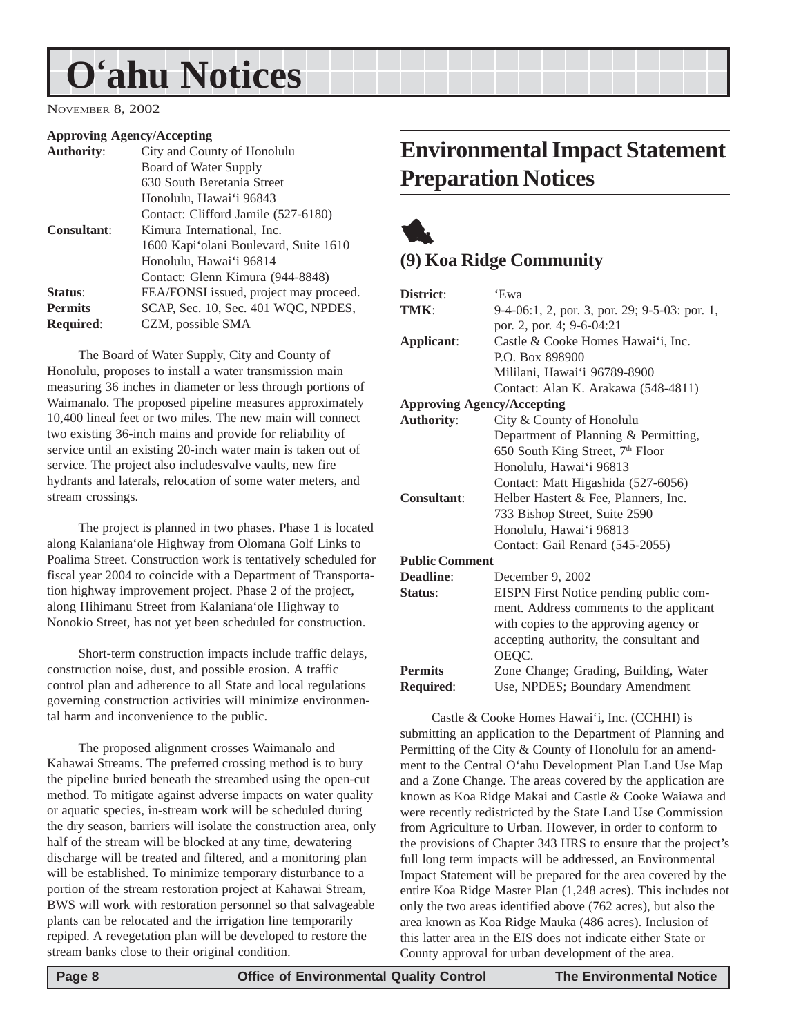## <span id="page-7-0"></span>**O'ahu Notices**

NOVEMBER 8, 2002

#### **Approving Agency/Accepting**

| <b>Authority:</b> | City and County of Honolulu            |
|-------------------|----------------------------------------|
|                   | <b>Board of Water Supply</b>           |
|                   | 630 South Beretania Street             |
|                   | Honolulu, Hawai'i 96843                |
|                   | Contact: Clifford Jamile (527-6180)    |
| Consultant:       | Kimura International, Inc.             |
|                   | 1600 Kapi'olani Boulevard, Suite 1610  |
|                   | Honolulu, Hawai'i 96814                |
|                   | Contact: Glenn Kimura (944-8848)       |
| Status:           | FEA/FONSI issued, project may proceed. |
| <b>Permits</b>    | SCAP, Sec. 10, Sec. 401 WQC, NPDES,    |
| <b>Required:</b>  | CZM, possible SMA                      |

The Board of Water Supply, City and County of Honolulu, proposes to install a water transmission main measuring 36 inches in diameter or less through portions of Waimanalo. The proposed pipeline measures approximately 10,400 lineal feet or two miles. The new main will connect two existing 36-inch mains and provide for reliability of service until an existing 20-inch water main is taken out of service. The project also includesvalve vaults, new fire hydrants and laterals, relocation of some water meters, and stream crossings.

The project is planned in two phases. Phase 1 is located along Kalaniana'ole Highway from Olomana Golf Links to Poalima Street. Construction work is tentatively scheduled for fiscal year 2004 to coincide with a Department of Transportation highway improvement project. Phase 2 of the project, along Hihimanu Street from Kalaniana'ole Highway to Nonokio Street, has not yet been scheduled for construction.

Short-term construction impacts include traffic delays, construction noise, dust, and possible erosion. A traffic control plan and adherence to all State and local regulations governing construction activities will minimize environmental harm and inconvenience to the public.

The proposed alignment crosses Waimanalo and Kahawai Streams. The preferred crossing method is to bury the pipeline buried beneath the streambed using the open-cut method. To mitigate against adverse impacts on water quality or aquatic species, in-stream work will be scheduled during the dry season, barriers will isolate the construction area, only half of the stream will be blocked at any time, dewatering discharge will be treated and filtered, and a monitoring plan will be established. To minimize temporary disturbance to a portion of the stream restoration project at Kahawai Stream, BWS will work with restoration personnel so that salvageable plants can be relocated and the irrigation line temporarily repiped. A revegetation plan will be developed to restore the stream banks close to their original condition.

## **Environmental Impact Statement Preparation Notices**

## 1 **(9) Koa Ridge Community**

| District:                         | 'Ewa                                          |
|-----------------------------------|-----------------------------------------------|
| TMK:                              | 9-4-06:1, 2, por. 3, por. 29; 9-5-03: por. 1, |
|                                   | por. 2, por. 4; 9-6-04:21                     |
| Applicant:                        | Castle & Cooke Homes Hawai'i, Inc.            |
|                                   | P.O. Box 898900                               |
|                                   | Mililani, Hawai'i 96789-8900                  |
|                                   | Contact: Alan K. Arakawa (548-4811)           |
| <b>Approving Agency/Accepting</b> |                                               |
| <b>Authority:</b>                 | City & County of Honolulu                     |
|                                   | Department of Planning & Permitting,          |
|                                   | 650 South King Street, 7 <sup>th</sup> Floor  |
|                                   | Honolulu, Hawai'i 96813                       |
|                                   | Contact: Matt Higashida (527-6056)            |
| <b>Consultant:</b>                | Helber Hastert & Fee, Planners, Inc.          |
|                                   | 733 Bishop Street, Suite 2590                 |
|                                   | Honolulu, Hawai'i 96813                       |
|                                   | Contact: Gail Renard (545-2055)               |
| <b>Public Comment</b>             |                                               |
| Deadline:                         | December 9, 2002                              |
| Status:                           | EISPN First Notice pending public com-        |
|                                   | ment. Address comments to the applicant       |
|                                   | with copies to the approving agency or        |
|                                   | accepting authority, the consultant and       |
|                                   | OEQC.                                         |
| <b>Permits</b>                    | Zone Change; Grading, Building, Water         |
| <b>Required:</b>                  | Use, NPDES; Boundary Amendment                |

Castle & Cooke Homes Hawai'i, Inc. (CCHHI) is submitting an application to the Department of Planning and Permitting of the City & County of Honolulu for an amendment to the Central O'ahu Development Plan Land Use Map and a Zone Change. The areas covered by the application are known as Koa Ridge Makai and Castle & Cooke Waiawa and were recently redistricted by the State Land Use Commission from Agriculture to Urban. However, in order to conform to the provisions of Chapter 343 HRS to ensure that the project's full long term impacts will be addressed, an Environmental Impact Statement will be prepared for the area covered by the entire Koa Ridge Master Plan (1,248 acres). This includes not only the two areas identified above (762 acres), but also the area known as Koa Ridge Mauka (486 acres). Inclusion of this latter area in the EIS does not indicate either State or County approval for urban development of the area.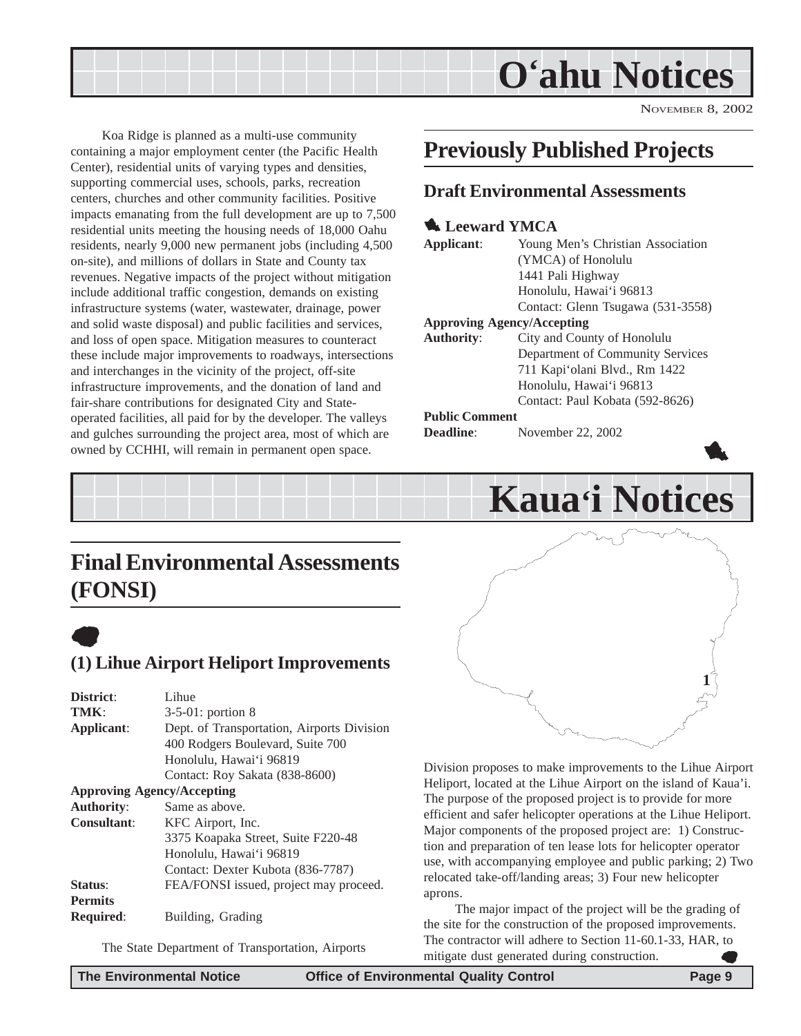## **O'ahu Notices**

NOVEMBER 8, 2002

1

<span id="page-8-0"></span>Koa Ridge is planned as a multi-use community containing a major employment center (the Pacific Health Center), residential units of varying types and densities, supporting commercial uses, schools, parks, recreation centers, churches and other community facilities. Positive impacts emanating from the full development are up to 7,500 residential units meeting the housing needs of 18,000 Oahu residents, nearly 9,000 new permanent jobs (including 4,500 on-site), and millions of dollars in State and County tax revenues. Negative impacts of the project without mitigation include additional traffic congestion, demands on existing infrastructure systems (water, wastewater, drainage, power and solid waste disposal) and public facilities and services, and loss of open space. Mitigation measures to counteract these include major improvements to roadways, intersections and interchanges in the vicinity of the project, off-site infrastructure improvements, and the donation of land and fair-share contributions for designated City and Stateoperated facilities, all paid for by the developer. The valleys and gulches surrounding the project area, most of which are owned by CCHHI, will remain in permanent open space.

## **Previously Published Projects**

#### **Draft Environmental Assessments**

#### **1.** Leeward YMCA

| Applicant:                        | Young Men's Christian Association |
|-----------------------------------|-----------------------------------|
|                                   | (YMCA) of Honolulu                |
|                                   | 1441 Pali Highway                 |
|                                   | Honolulu, Hawai'i 96813           |
|                                   | Contact: Glenn Tsugawa (531-3558) |
| <b>Approving Agency/Accepting</b> |                                   |
| <b>Authority:</b>                 | City and County of Honolulu       |
|                                   | Department of Community Services  |
|                                   | 711 Kapi'olani Blvd., Rm 1422     |
|                                   | Honolulu, Hawai'i 96813           |
|                                   | Contact: Paul Kobata (592-8626)   |
| <b>Public Comment</b>             |                                   |
| <b>Deadline:</b>                  | November 22, 2002                 |



## **Final Environmental Assessments (FONSI)**



### **(1) Lihue Airport Heliport Improvements**

| District:          | Lihue                                      |
|--------------------|--------------------------------------------|
| TMK:               | $3-5-01$ : portion 8                       |
| Applicant:         | Dept. of Transportation, Airports Division |
|                    | 400 Rodgers Boulevard, Suite 700           |
|                    | Honolulu, Hawai'i 96819                    |
|                    | Contact: Roy Sakata (838-8600)             |
|                    | <b>Approving Agency/Accepting</b>          |
| <b>Authority:</b>  | Same as above.                             |
| <b>Consultant:</b> | KFC Airport, Inc.                          |
|                    | 3375 Koapaka Street, Suite F220-48         |
|                    | Honolulu, Hawai'i 96819                    |
|                    | Contact: Dexter Kubota (836-7787)          |
| Status:            | FEA/FONSI issued, project may proceed.     |
| <b>Permits</b>     |                                            |
| <b>Required:</b>   | Building, Grading                          |
|                    |                                            |

The State Department of Transportation, Airports

**1**

Division proposes to make improvements to the Lihue Airport Heliport, located at the Lihue Airport on the island of Kaua'i. The purpose of the proposed project is to provide for more efficient and safer helicopter operations at the Lihue Heliport. Major components of the proposed project are: 1) Construction and preparation of ten lease lots for helicopter operator use, with accompanying employee and public parking; 2) Two relocated take-off/landing areas; 3) Four new helicopter aprons.

The major impact of the project will be the grading of the site for the construction of the proposed improvements. The contractor will adhere to Section 11-60.1-33, HAR, to mitigate dust generated during construction.  $\bullet$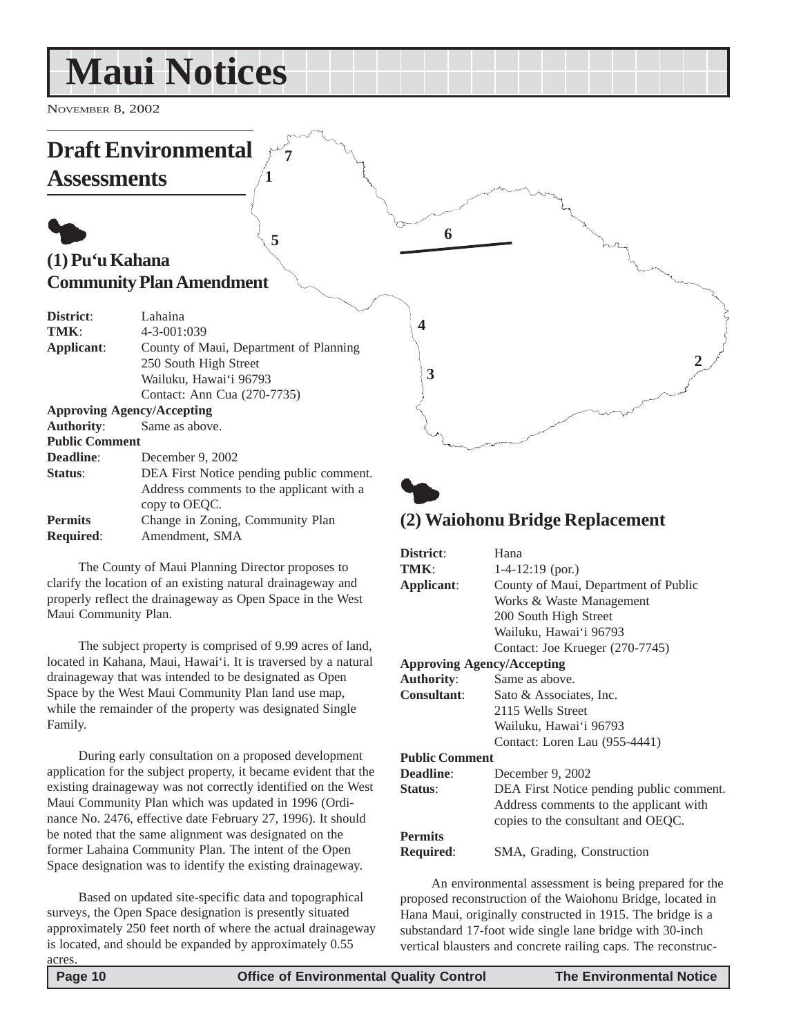## <span id="page-9-0"></span>**Maui Notices**

NOVEMBER 8, 2002

#### **Draft Environmental Assessments**  $\bullet$ **(1) Pu'u Kahana Community Plan Amendment District**: Lahaina **TMK**: 4-3-001:039 **Applicant**: County of Maui, Department of Planning 250 South High Street Wailuku, Hawai'i 96793 Contact: Ann Cua (270-7735) **Approving Agency/Accepting Authority**: Same as above. **Public Comment Deadline**: December 9, 2002 **Status**: DEA First Notice pending public comment. Address comments to the applicant with a copy to OEQC. **Permits** Change in Zoning, Community Plan  $\bullet$ **6 1 2 3 4 5 7**

**Required**: Amendment, SMA

The County of Maui Planning Director proposes to clarify the location of an existing natural drainageway and properly reflect the drainageway as Open Space in the West Maui Community Plan.

The subject property is comprised of 9.99 acres of land, located in Kahana, Maui, Hawai'i. It is traversed by a natural drainageway that was intended to be designated as Open Space by the West Maui Community Plan land use map, while the remainder of the property was designated Single Family.

During early consultation on a proposed development application for the subject property, it became evident that the existing drainageway was not correctly identified on the West Maui Community Plan which was updated in 1996 (Ordinance No. 2476, effective date February 27, 1996). It should be noted that the same alignment was designated on the former Lahaina Community Plan. The intent of the Open Space designation was to identify the existing drainageway.

Based on updated site-specific data and topographical surveys, the Open Space designation is presently situated approximately 250 feet north of where the actual drainageway is located, and should be expanded by approximately 0.55 acres.

## **(2) Waiohonu Bridge Replacement**

| District:                         | Hana                                     |
|-----------------------------------|------------------------------------------|
| TMK:                              | $1-4-12:19$ (por.)                       |
| Applicant:                        | County of Maui, Department of Public     |
|                                   | Works & Waste Management                 |
|                                   | 200 South High Street                    |
|                                   | Wailuku, Hawai'i 96793                   |
|                                   | Contact: Joe Krueger (270-7745)          |
| <b>Approving Agency/Accepting</b> |                                          |
| <b>Authority:</b>                 | Same as above.                           |
| <b>Consultant:</b>                | Sato & Associates, Inc.                  |
|                                   | 2115 Wells Street                        |
|                                   | Wailuku, Hawai'i 96793                   |
|                                   | Contact: Loren Lau (955-4441)            |
| <b>Public Comment</b>             |                                          |
| <b>Deadline:</b>                  | December 9, 2002                         |
| Status:                           | DEA First Notice pending public comment. |
|                                   | Address comments to the applicant with   |
|                                   | copies to the consultant and OEQC.       |
| <b>Permits</b>                    |                                          |
| Required:                         | SMA, Grading, Construction               |

An environmental assessment is being prepared for the proposed reconstruction of the Waiohonu Bridge, located in Hana Maui, originally constructed in 1915. The bridge is a substandard 17-foot wide single lane bridge with 30-inch vertical blausters and concrete railing caps. The reconstruc-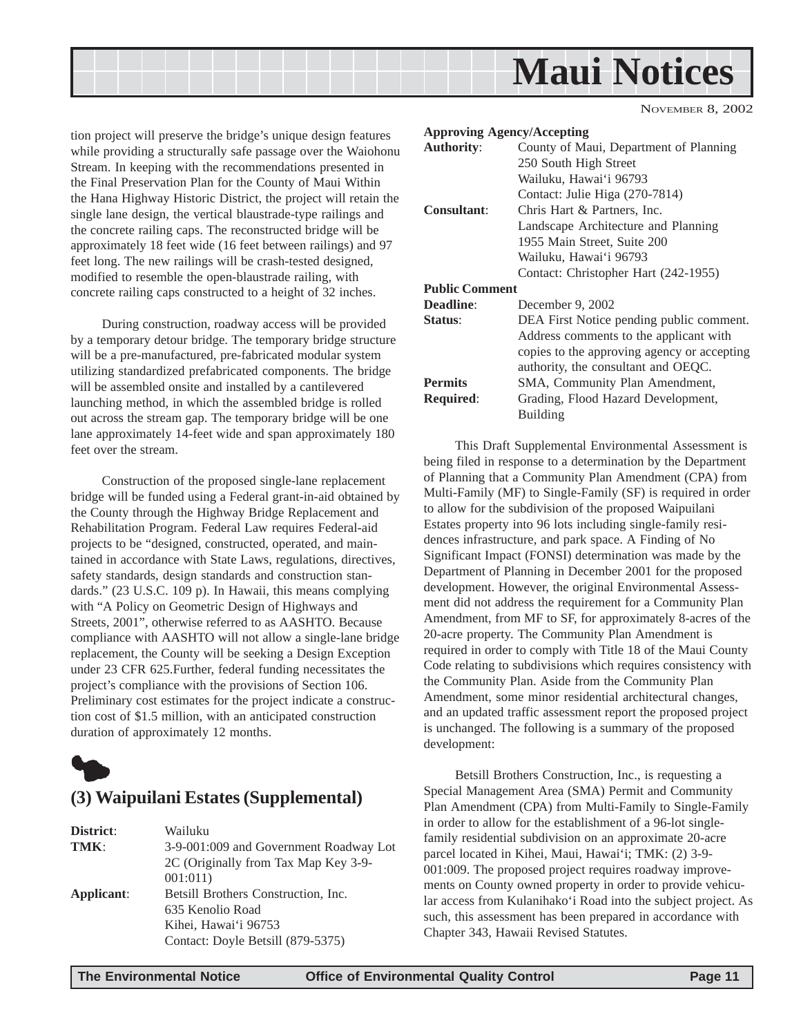<span id="page-10-0"></span>

tion project will preserve the bridge's unique design features while providing a structurally safe passage over the Waiohonu Stream. In keeping with the recommendations presented in the Final Preservation Plan for the County of Maui Within the Hana Highway Historic District, the project will retain the single lane design, the vertical blaustrade-type railings and the concrete railing caps. The reconstructed bridge will be approximately 18 feet wide (16 feet between railings) and 97 feet long. The new railings will be crash-tested designed, modified to resemble the open-blaustrade railing, with concrete railing caps constructed to a height of 32 inches.

During construction, roadway access will be provided by a temporary detour bridge. The temporary bridge structure will be a pre-manufactured, pre-fabricated modular system utilizing standardized prefabricated components. The bridge will be assembled onsite and installed by a cantilevered launching method, in which the assembled bridge is rolled out across the stream gap. The temporary bridge will be one lane approximately 14-feet wide and span approximately 180 feet over the stream.

Construction of the proposed single-lane replacement bridge will be funded using a Federal grant-in-aid obtained by the County through the Highway Bridge Replacement and Rehabilitation Program. Federal Law requires Federal-aid projects to be "designed, constructed, operated, and maintained in accordance with State Laws, regulations, directives, safety standards, design standards and construction standards." (23 U.S.C. 109 p). In Hawaii, this means complying with "A Policy on Geometric Design of Highways and Streets, 2001", otherwise referred to as AASHTO. Because compliance with AASHTO will not allow a single-lane bridge replacement, the County will be seeking a Design Exception under 23 CFR 625.Further, federal funding necessitates the project's compliance with the provisions of Section 106. Preliminary cost estimates for the project indicate a construction cost of \$1.5 million, with an anticipated construction duration of approximately 12 months.



#### **(3) Waipuilani Estates (Supplemental)**

| District:  | Wailuku                                |
|------------|----------------------------------------|
| TMK:       | 3-9-001:009 and Government Roadway Lot |
|            | 2C (Originally from Tax Map Key 3-9-   |
|            | 001:011)                               |
| Applicant: | Betsill Brothers Construction, Inc.    |
|            | 635 Kenolio Road                       |
|            | Kihei, Hawai'i 96753                   |
|            | Contact: Doyle Betsill (879-5375)      |
|            |                                        |

| <b>Approving Agency/Accepting</b> |                                             |
|-----------------------------------|---------------------------------------------|
| <b>Authority:</b>                 | County of Maui, Department of Planning      |
|                                   | 250 South High Street                       |
|                                   | Wailuku, Hawai'i 96793                      |
|                                   | Contact: Julie Higa (270-7814)              |
| <b>Consultant:</b>                | Chris Hart & Partners, Inc.                 |
|                                   | Landscape Architecture and Planning         |
|                                   | 1955 Main Street, Suite 200                 |
|                                   | Wailuku, Hawai'i 96793                      |
|                                   | Contact: Christopher Hart (242-1955)        |
| <b>Public Comment</b>             |                                             |
| Deadline:                         | December 9, 2002                            |
| <b>Status:</b>                    | DEA First Notice pending public comment.    |
|                                   | Address comments to the applicant with      |
|                                   | copies to the approving agency or accepting |
|                                   | authority, the consultant and OEQC.         |
| <b>Permits</b>                    | SMA, Community Plan Amendment,              |
| <b>Required:</b>                  | Grading, Flood Hazard Development,          |
|                                   | <b>Building</b>                             |

This Draft Supplemental Environmental Assessment is being filed in response to a determination by the Department of Planning that a Community Plan Amendment (CPA) from Multi-Family (MF) to Single-Family (SF) is required in order to allow for the subdivision of the proposed Waipuilani Estates property into 96 lots including single-family residences infrastructure, and park space. A Finding of No Significant Impact (FONSI) determination was made by the Department of Planning in December 2001 for the proposed development. However, the original Environmental Assessment did not address the requirement for a Community Plan Amendment, from MF to SF, for approximately 8-acres of the 20-acre property. The Community Plan Amendment is required in order to comply with Title 18 of the Maui County Code relating to subdivisions which requires consistency with the Community Plan. Aside from the Community Plan Amendment, some minor residential architectural changes, and an updated traffic assessment report the proposed project is unchanged. The following is a summary of the proposed development:

Betsill Brothers Construction, Inc., is requesting a Special Management Area (SMA) Permit and Community Plan Amendment (CPA) from Multi-Family to Single-Family in order to allow for the establishment of a 96-lot singlefamily residential subdivision on an approximate 20-acre parcel located in Kihei, Maui, Hawai'i; TMK: (2) 3-9- 001:009. The proposed project requires roadway improvements on County owned property in order to provide vehicular access from Kulanihako'i Road into the subject project. As such, this assessment has been prepared in accordance with Chapter 343, Hawaii Revised Statutes.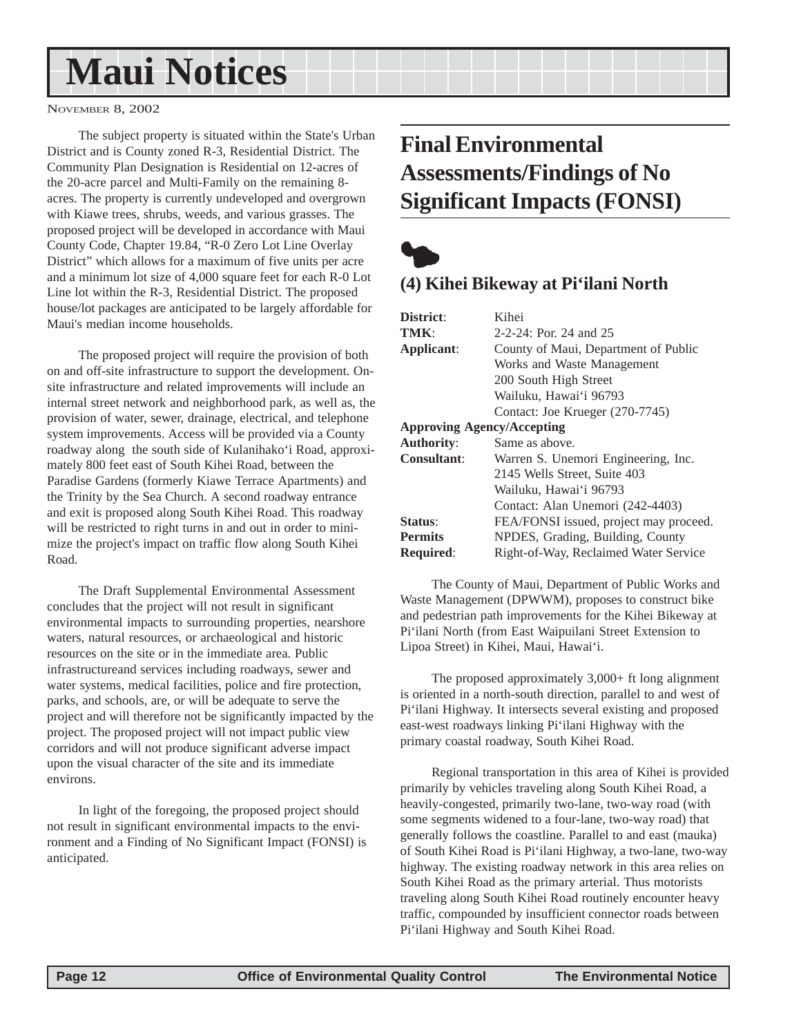## <span id="page-11-0"></span>**Maui Notices**

NOVEMBER 8, 2002

The subject property is situated within the State's Urban District and is County zoned R-3, Residential District. The Community Plan Designation is Residential on 12-acres of the 20-acre parcel and Multi-Family on the remaining 8 acres. The property is currently undeveloped and overgrown with Kiawe trees, shrubs, weeds, and various grasses. The proposed project will be developed in accordance with Maui County Code, Chapter 19.84, "R-0 Zero Lot Line Overlay District" which allows for a maximum of five units per acre and a minimum lot size of 4,000 square feet for each R-0 Lot Line lot within the R-3, Residential District. The proposed house/lot packages are anticipated to be largely affordable for Maui's median income households.

The proposed project will require the provision of both on and off-site infrastructure to support the development. Onsite infrastructure and related improvements will include an internal street network and neighborhood park, as well as, the provision of water, sewer, drainage, electrical, and telephone system improvements. Access will be provided via a County roadway along the south side of Kulanihako'i Road, approximately 800 feet east of South Kihei Road, between the Paradise Gardens (formerly Kiawe Terrace Apartments) and the Trinity by the Sea Church. A second roadway entrance and exit is proposed along South Kihei Road. This roadway will be restricted to right turns in and out in order to minimize the project's impact on traffic flow along South Kihei Road.

The Draft Supplemental Environmental Assessment concludes that the project will not result in significant environmental impacts to surrounding properties, nearshore waters, natural resources, or archaeological and historic resources on the site or in the immediate area. Public infrastructureand services including roadways, sewer and water systems, medical facilities, police and fire protection, parks, and schools, are, or will be adequate to serve the project and will therefore not be significantly impacted by the project. The proposed project will not impact public view corridors and will not produce significant adverse impact upon the visual character of the site and its immediate environs.

In light of the foregoing, the proposed project should not result in significant environmental impacts to the environment and a Finding of No Significant Impact (FONSI) is anticipated.

## **Final Environmental Assessments/Findings of No Significant Impacts (FONSI)**



### **(4) Kihei Bikeway at Pi'ilani North**

| District:                         | Kihei                                  |
|-----------------------------------|----------------------------------------|
| TMK:                              | $2-2-24$ : Por. 24 and 25              |
| Applicant:                        | County of Maui, Department of Public   |
|                                   | Works and Waste Management             |
|                                   | 200 South High Street                  |
|                                   | Wailuku, Hawai'i 96793                 |
|                                   | Contact: Joe Krueger (270-7745)        |
| <b>Approving Agency/Accepting</b> |                                        |
| <b>Authority:</b>                 | Same as above.                         |
| <b>Consultant:</b>                | Warren S. Unemori Engineering, Inc.    |
|                                   | 2145 Wells Street, Suite 403           |
|                                   | Wailuku, Hawai'i 96793                 |
|                                   | Contact: Alan Unemori (242-4403)       |
| Status:                           | FEA/FONSI issued, project may proceed. |
| <b>Permits</b>                    | NPDES, Grading, Building, County       |
| <b>Required:</b>                  | Right-of-Way, Reclaimed Water Service  |

The County of Maui, Department of Public Works and Waste Management (DPWWM), proposes to construct bike and pedestrian path improvements for the Kihei Bikeway at Pi'ilani North (from East Waipuilani Street Extension to Lipoa Street) in Kihei, Maui, Hawai'i.

The proposed approximately 3,000+ ft long alignment is oriented in a north-south direction, parallel to and west of Pi'ilani Highway. It intersects several existing and proposed east-west roadways linking Pi'ilani Highway with the primary coastal roadway, South Kihei Road.

Regional transportation in this area of Kihei is provided primarily by vehicles traveling along South Kihei Road, a heavily-congested, primarily two-lane, two-way road (with some segments widened to a four-lane, two-way road) that generally follows the coastline. Parallel to and east (mauka) of South Kihei Road is Pi'ilani Highway, a two-lane, two-way highway. The existing roadway network in this area relies on South Kihei Road as the primary arterial. Thus motorists traveling along South Kihei Road routinely encounter heavy traffic, compounded by insufficient connector roads between Pi'ilani Highway and South Kihei Road.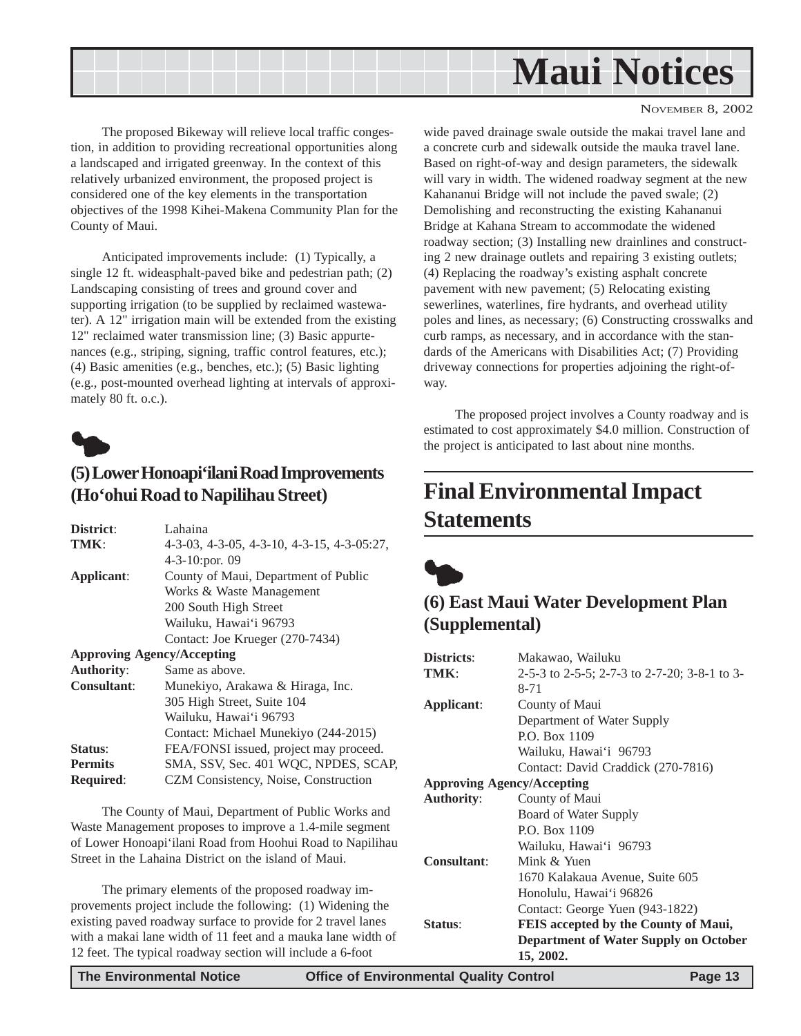<span id="page-12-0"></span>

The proposed Bikeway will relieve local traffic congestion, in addition to providing recreational opportunities along a landscaped and irrigated greenway. In the context of this relatively urbanized environment, the proposed project is considered one of the key elements in the transportation objectives of the 1998 Kihei-Makena Community Plan for the County of Maui.

Anticipated improvements include: (1) Typically, a single 12 ft. wideasphalt-paved bike and pedestrian path; (2) Landscaping consisting of trees and ground cover and supporting irrigation (to be supplied by reclaimed wastewater). A 12" irrigation main will be extended from the existing 12" reclaimed water transmission line; (3) Basic appurtenances (e.g., striping, signing, traffic control features, etc.); (4) Basic amenities (e.g., benches, etc.); (5) Basic lighting (e.g., post-mounted overhead lighting at intervals of approximately 80 ft. o.c.).



### **(5) Lower Honoapi'ilani Road Improvements (Ho'ohui Road to Napilihau Street)**

| District:          | Lahaina                                    |
|--------------------|--------------------------------------------|
| TMK:               | 4-3-03, 4-3-05, 4-3-10, 4-3-15, 4-3-05:27, |
|                    | 4-3-10:por. 09                             |
| Applicant:         | County of Maui, Department of Public       |
|                    | Works & Waste Management                   |
|                    | 200 South High Street                      |
|                    | Wailuku, Hawai'i 96793                     |
|                    | Contact: Joe Krueger (270-7434)            |
|                    | <b>Approving Agency/Accepting</b>          |
| <b>Authority:</b>  | Same as above.                             |
| <b>Consultant:</b> | Munekiyo, Arakawa & Hiraga, Inc.           |
|                    | 305 High Street, Suite 104                 |
|                    | Wailuku, Hawai'i 96793                     |
|                    | Contact: Michael Munekiyo (244-2015)       |
| Status:            | FEA/FONSI issued, project may proceed.     |
| <b>Permits</b>     | SMA, SSV, Sec. 401 WQC, NPDES, SCAP,       |
| <b>Required:</b>   | CZM Consistency, Noise, Construction       |
|                    |                                            |

The County of Maui, Department of Public Works and Waste Management proposes to improve a 1.4-mile segment of Lower Honoapi'ilani Road from Hoohui Road to Napilihau Street in the Lahaina District on the island of Maui.

The primary elements of the proposed roadway improvements project include the following: (1) Widening the existing paved roadway surface to provide for 2 travel lanes with a makai lane width of 11 feet and a mauka lane width of 12 feet. The typical roadway section will include a 6-foot

wide paved drainage swale outside the makai travel lane and a concrete curb and sidewalk outside the mauka travel lane. Based on right-of-way and design parameters, the sidewalk will vary in width. The widened roadway segment at the new Kahananui Bridge will not include the paved swale; (2) Demolishing and reconstructing the existing Kahananui Bridge at Kahana Stream to accommodate the widened roadway section; (3) Installing new drainlines and constructing 2 new drainage outlets and repairing 3 existing outlets; (4) Replacing the roadway's existing asphalt concrete pavement with new pavement; (5) Relocating existing sewerlines, waterlines, fire hydrants, and overhead utility poles and lines, as necessary; (6) Constructing crosswalks and curb ramps, as necessary, and in accordance with the standards of the Americans with Disabilities Act; (7) Providing driveway connections for properties adjoining the right-ofway.

The proposed project involves a County roadway and is estimated to cost approximately \$4.0 million. Construction of the project is anticipated to last about nine months.

## **Final Environmental Impact Statements**



### **(6) East Maui Water Development Plan (Supplemental)**

| <b>Districts:</b>                 | Makawao, Wailuku                             |
|-----------------------------------|----------------------------------------------|
| TMK:                              | 2-5-3 to 2-5-5; 2-7-3 to 2-7-20; 3-8-1 to 3- |
|                                   | 8-71                                         |
| Applicant:                        | County of Maui                               |
|                                   | Department of Water Supply                   |
|                                   | P.O. Box 1109                                |
|                                   | Wailuku, Hawai'i 96793                       |
|                                   | Contact: David Craddick (270-7816)           |
| <b>Approving Agency/Accepting</b> |                                              |
| <b>Authority:</b>                 | County of Maui                               |
|                                   | Board of Water Supply                        |
|                                   | P.O. Box 1109                                |
|                                   | Wailuku, Hawai'i 96793                       |
| <b>Consultant:</b>                | Mink $\&$ Yuen                               |
|                                   | 1670 Kalakaua Avenue, Suite 605              |
|                                   | Honolulu, Hawai'i 96826                      |
|                                   | Contact: George Yuen (943-1822)              |
| Status:                           | <b>FEIS</b> accepted by the County of Maui,  |
|                                   | <b>Department of Water Supply on October</b> |
|                                   | 15, 2002.                                    |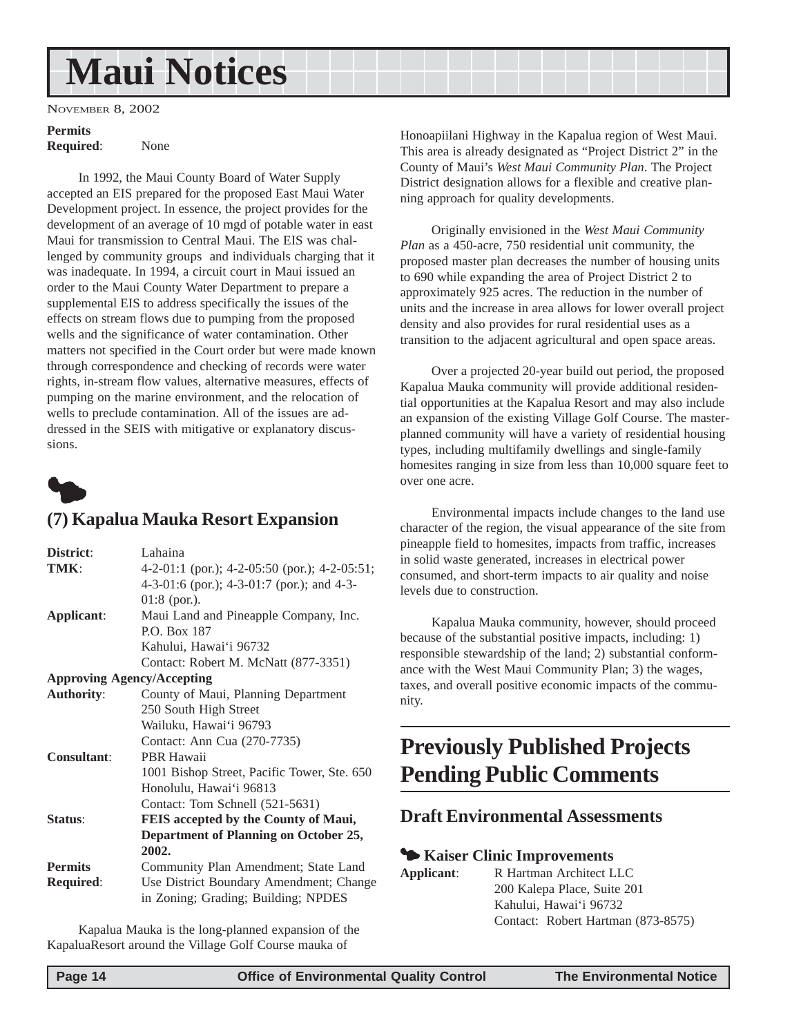## <span id="page-13-0"></span>**Maui Notices**

NOVEMBER 8, 2002

## **Permits**

**Required**: None

In 1992, the Maui County Board of Water Supply accepted an EIS prepared for the proposed East Maui Water Development project. In essence, the project provides for the development of an average of 10 mgd of potable water in east Maui for transmission to Central Maui. The EIS was challenged by community groups and individuals charging that it was inadequate. In 1994, a circuit court in Maui issued an order to the Maui County Water Department to prepare a supplemental EIS to address specifically the issues of the effects on stream flows due to pumping from the proposed wells and the significance of water contamination. Other matters not specified in the Court order but were made known through correspondence and checking of records were water rights, in-stream flow values, alternative measures, effects of pumping on the marine environment, and the relocation of wells to preclude contamination. All of the issues are addressed in the SEIS with mitigative or explanatory discussions.



### **(7) Kapalua Mauka Resort Expansion**

| District:          | Lahaina                                       |
|--------------------|-----------------------------------------------|
| TMK:               | 4-2-01:1 (por.); 4-2-05:50 (por.); 4-2-05:51; |
|                    | 4-3-01:6 (por.); 4-3-01:7 (por.); and 4-3-    |
|                    | $01:8$ (por.).                                |
| Applicant:         | Maui Land and Pineapple Company, Inc.         |
|                    | <b>P.O. Box 187</b>                           |
|                    | Kahului, Hawai'i 96732                        |
|                    | Contact: Robert M. McNatt (877-3351)          |
|                    | <b>Approving Agency/Accepting</b>             |
| <b>Authority:</b>  | County of Maui, Planning Department           |
|                    | 250 South High Street                         |
|                    | Wailuku, Hawai'i 96793                        |
|                    | Contact: Ann Cua (270-7735)                   |
| <b>Consultant:</b> | PBR Hawaii                                    |
|                    | 1001 Bishop Street, Pacific Tower, Ste. 650   |
|                    | Honolulu, Hawai'i 96813                       |
|                    | Contact: Tom Schnell (521-5631)               |
| Status:            | <b>FEIS</b> accepted by the County of Maui,   |
|                    | Department of Planning on October 25,         |
|                    | 2002.                                         |
| <b>Permits</b>     | Community Plan Amendment; State Land          |
| <b>Required:</b>   | Use District Boundary Amendment; Change       |
|                    | in Zoning; Grading; Building; NPDES           |

Kapalua Mauka is the long-planned expansion of the KapaluaResort around the Village Golf Course mauka of

Honoapiilani Highway in the Kapalua region of West Maui. This area is already designated as "Project District 2" in the County of Maui's *West Maui Community Plan*. The Project District designation allows for a flexible and creative planning approach for quality developments.

Originally envisioned in the *West Maui Community Plan* as a 450-acre, 750 residential unit community, the proposed master plan decreases the number of housing units to 690 while expanding the area of Project District 2 to approximately 925 acres. The reduction in the number of units and the increase in area allows for lower overall project density and also provides for rural residential uses as a transition to the adjacent agricultural and open space areas.

Over a projected 20-year build out period, the proposed Kapalua Mauka community will provide additional residential opportunities at the Kapalua Resort and may also include an expansion of the existing Village Golf Course. The masterplanned community will have a variety of residential housing types, including multifamily dwellings and single-family homesites ranging in size from less than 10,000 square feet to over one acre.

Environmental impacts include changes to the land use character of the region, the visual appearance of the site from pineapple field to homesites, impacts from traffic, increases in solid waste generated, increases in electrical power consumed, and short-term impacts to air quality and noise levels due to construction.

Kapalua Mauka community, however, should proceed because of the substantial positive impacts, including: 1) responsible stewardship of the land; 2) substantial conformance with the West Maui Community Plan; 3) the wages, taxes, and overall positive economic impacts of the community.

## **Previously Published Projects Pending Public Comments**

#### **Draft Environmental Assessments**

#### 3 **Kaiser Clinic Improvements**

**Applicant**: R Hartman Architect LLC 200 Kalepa Place, Suite 201 Kahului, Hawai'i 96732 Contact: Robert Hartman (873-8575)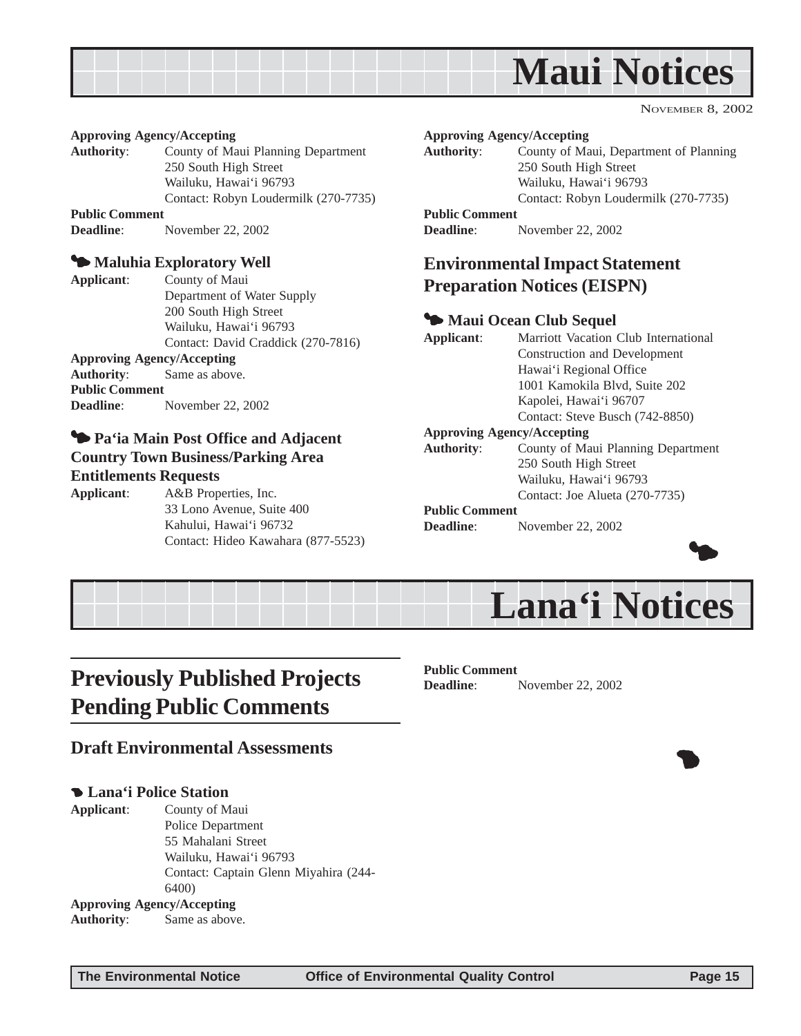<span id="page-14-0"></span>

#### **Approving Agency/Accepting**

**Authority**: County of Maui Planning Department 250 South High Street Wailuku, Hawai'i 96793 Contact: Robyn Loudermilk (270-7735) **Public Comment**

**Deadline**: November 22, 2002

#### $\blacktriangleright$  Maluhia Exploratory Well

**Applicant**: County of Maui Department of Water Supply 200 South High Street Wailuku, Hawai'i 96793 Contact: David Craddick (270-7816) **Approving Agency/Accepting Authority**: Same as above. **Public Comment Deadline**: November 22, 2002

#### 3 **Pa'ia Main Post Office and Adjacent Country Town Business/Parking Area Entitlements Requests**

**Applicant**: A&B Properties, Inc. 33 Lono Avenue, Suite 400 Kahului, Hawai'i 96732 Contact: Hideo Kawahara (877-5523)

#### **Approving Agency/Accepting**

**Authority**: County of Maui, Department of Planning 250 South High Street Wailuku, Hawai'i 96793 Contact: Robyn Loudermilk (270-7735)

#### **Public Comment**

**Deadline**: November 22, 2002

#### **Environmental Impact Statement Preparation Notices (EISPN)**

#### 3 **Maui Ocean Club Sequel**

**Applicant**: Marriott Vacation Club International Construction and Development Hawai'i Regional Office 1001 Kamokila Blvd, Suite 202 Kapolei, Hawai'i 96707 Contact: Steve Busch (742-8850) **Approving Agency/Accepting Authority**: County of Maui Planning Department 250 South High Street Wailuku, Hawai'i 96793 Contact: Joe Alueta (270-7735)

#### **Public Comment**

**Deadline**: November 22, 2002



 $\bullet$ 



## **Previously Published Projects Pending Public Comments**

#### **Draft Environmental Assessments**

#### 4 **Lana'i Police Station**

**Applicant**: County of Maui Police Department 55 Mahalani Street Wailuku, Hawai'i 96793 Contact: Captain Glenn Miyahira (244- 6400) **Approving Agency/Accepting Authority**: Same as above.

**Public Comment Deadline**: November 22, 2002

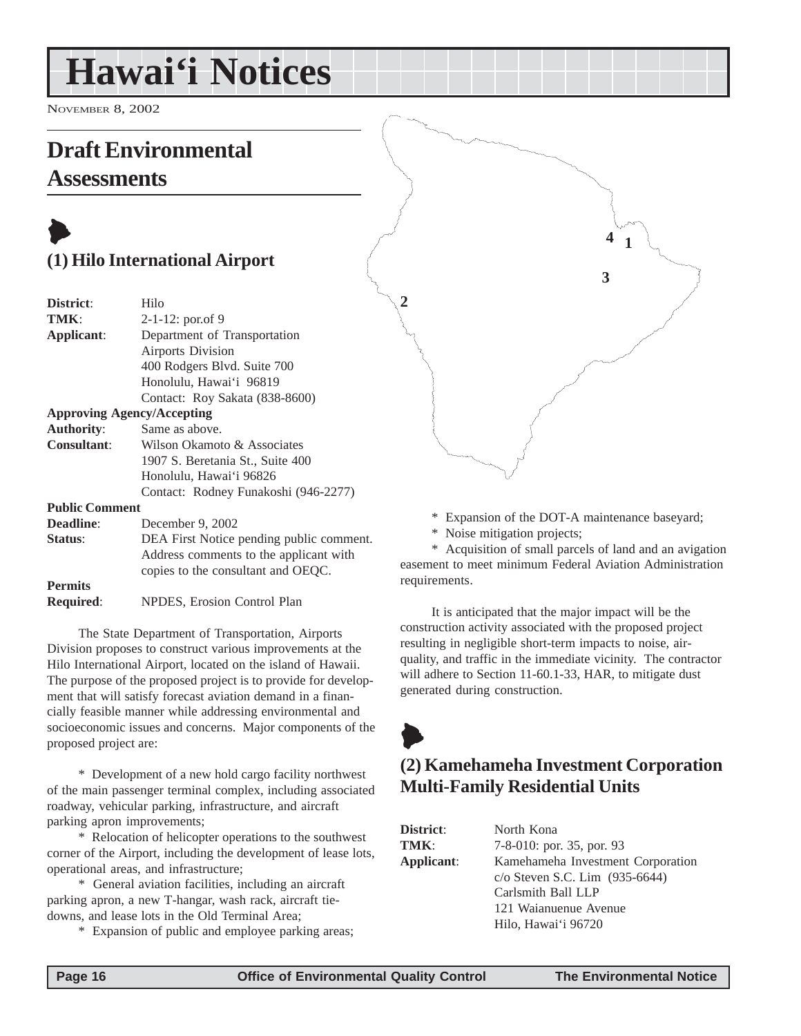## <span id="page-15-0"></span>**Hawai'i Notices**

NOVEMBER 8, 2002

## **Draft Environmental Assessments**

## $\blacktriangleright$ **(1) Hilo International Airport**

| District:                         | Hilo                                 |
|-----------------------------------|--------------------------------------|
| TMK:                              | $2-1-12$ : por.of 9                  |
| Applicant:                        | Department of Transportation         |
|                                   | <b>Airports Division</b>             |
|                                   | 400 Rodgers Blvd. Suite 700          |
|                                   | Honolulu, Hawai'i 96819              |
|                                   | Contact: Roy Sakata (838-8600)       |
| <b>Approving Agency/Accepting</b> |                                      |
| <b>Authority:</b>                 | Same as above.                       |
| Consultant:                       | Wilson Okamoto & Associates          |
|                                   | 1907 S. Beretania St., Suite 400     |
|                                   | Honolulu, Hawai'i 96826              |
|                                   | Contact: Rodney Funakoshi (946-2277) |
| <b>Public Comment</b>             |                                      |
| <b>Deadline:</b>                  | December 9, 2002                     |

| Status:          | DEA First Notice pending public comment. |
|------------------|------------------------------------------|
|                  | Address comments to the applicant with   |
|                  | copies to the consultant and OEOC.       |
| <b>Permits</b>   |                                          |
| <b>Required:</b> | NPDES, Erosion Control Plan              |

The State Department of Transportation, Airports Division proposes to construct various improvements at the Hilo International Airport, located on the island of Hawaii. The purpose of the proposed project is to provide for development that will satisfy forecast aviation demand in a financially feasible manner while addressing environmental and socioeconomic issues and concerns. Major components of the proposed project are:

\* Development of a new hold cargo facility northwest of the main passenger terminal complex, including associated roadway, vehicular parking, infrastructure, and aircraft parking apron improvements;

\* Relocation of helicopter operations to the southwest corner of the Airport, including the development of lease lots, operational areas, and infrastructure;

\* General aviation facilities, including an aircraft parking apron, a new T-hangar, wash rack, aircraft tiedowns, and lease lots in the Old Terminal Area;

\* Expansion of public and employee parking areas;



\* Expansion of the DOT-A maintenance baseyard;

\* Noise mitigation projects;

\* Acquisition of small parcels of land and an avigation easement to meet minimum Federal Aviation Administration requirements.

It is anticipated that the major impact will be the construction activity associated with the proposed project resulting in negligible short-term impacts to noise, airquality, and traffic in the immediate vicinity. The contractor will adhere to Section 11-60.1-33, HAR, to mitigate dust generated during construction.

## $\blacktriangleright$

## **(2) Kamehameha Investment Corporation Multi-Family Residential Units**

| North Kona                          |
|-------------------------------------|
| 7-8-010: por. 35, por. 93           |
| Kamehameha Investment Corporation   |
| $c$ /o Steven S.C. Lim $(935-6644)$ |
| Carlsmith Ball LLP                  |
| 121 Waianuenue Avenue               |
| Hilo, Hawai'i 96720                 |
|                                     |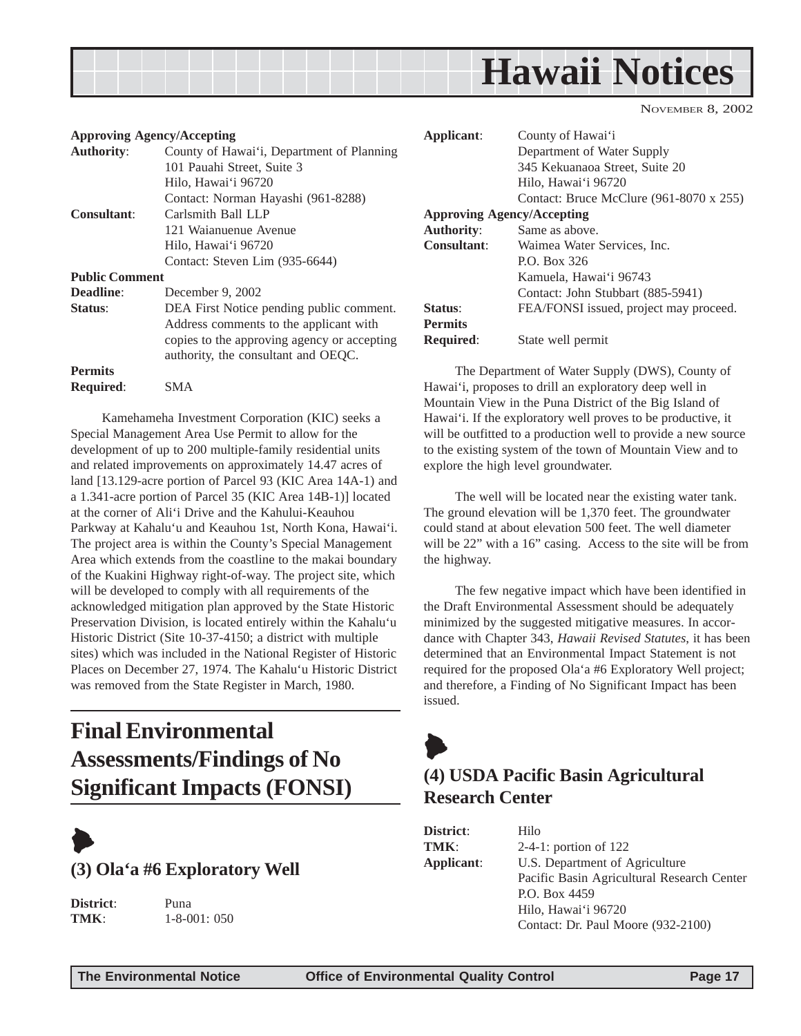<span id="page-16-0"></span>

| <b>Approving Agency/Accepting</b> |                                             | Applicant:         | County of Hawai'i                               |
|-----------------------------------|---------------------------------------------|--------------------|-------------------------------------------------|
| <b>Authority:</b>                 | County of Hawai'i, Department of Planning   |                    | Department of Water Supply                      |
|                                   | 101 Pauahi Street, Suite 3                  |                    | 345 Kekuanaoa Street, Suite 20                  |
|                                   | Hilo, Hawai'i 96720                         |                    | Hilo, Hawai'i 96720                             |
|                                   | Contact: Norman Hayashi (961-8288)          |                    | Contact: Bruce McClure (961-8070 x 255)         |
| <b>Consultant:</b>                | Carlsmith Ball LLP                          |                    | <b>Approving Agency/Accepting</b>               |
|                                   | 121 Waianuenue Avenue                       | <b>Authority:</b>  | Same as above.                                  |
|                                   | Hilo, Hawai'i 96720                         | <b>Consultant:</b> | Waimea Water Services, Inc.                     |
|                                   | Contact: Steven Lim (935-6644)              |                    | P.O. Box 326                                    |
| <b>Public Comment</b>             |                                             |                    | Kamuela, Hawai'i 96743                          |
| <b>Deadline:</b>                  | December 9, 2002                            |                    | Contact: John Stubbart (885-5941)               |
| Status:                           | DEA First Notice pending public comment.    | Status:            | FEA/FONSI issued, project may proceed.          |
|                                   | Address comments to the applicant with      | <b>Permits</b>     |                                                 |
|                                   | copies to the approving agency or accepting | <b>Required:</b>   | State well permit                               |
|                                   | authority, the consultant and OEQC.         |                    |                                                 |
| <b>Permits</b>                    |                                             |                    | The Department of Water Supply (DWS), County of |

**Required**: SMA Kamehameha Investment Corporation (KIC) seeks a Special Management Area Use Permit to allow for the development of up to 200 multiple-family residential units and related improvements on approximately 14.47 acres of land [13.129-acre portion of Parcel 93 (KIC Area 14A-1) and a 1.341-acre portion of Parcel 35 (KIC Area 14B-1)] located at the corner of Ali'i Drive and the Kahului-Keauhou Parkway at Kahalu'u and Keauhou 1st, North Kona, Hawai'i. The project area is within the County's Special Management Area which extends from the coastline to the makai boundary of the Kuakini Highway right-of-way. The project site, which will be developed to comply with all requirements of the acknowledged mitigation plan approved by the State Historic Preservation Division, is located entirely within the Kahalu'u Historic District (Site 10-37-4150; a district with multiple sites) which was included in the National Register of Historic

## **Final Environmental Assessments/Findings of No Significant Impacts (FONSI)**

was removed from the State Register in March, 1980.

Places on December 27, 1974. The Kahalu'u Historic District



**District**: Puna

**TMK**: 1-8-001: 050

The Department of Water Supply (DWS), County of Hawai'i, proposes to drill an exploratory deep well in Mountain View in the Puna District of the Big Island of Hawai'i. If the exploratory well proves to be productive, it will be outfitted to a production well to provide a new source to the existing system of the town of Mountain View and to explore the high level groundwater.

The well will be located near the existing water tank. The ground elevation will be 1,370 feet. The groundwater could stand at about elevation 500 feet. The well diameter will be 22" with a 16" casing. Access to the site will be from the highway.

The few negative impact which have been identified in the Draft Environmental Assessment should be adequately minimized by the suggested mitigative measures. In accordance with Chapter 343, *Hawaii Revised Statutes*, it has been determined that an Environmental Impact Statement is not required for the proposed Ola'a #6 Exploratory Well project; and therefore, a Finding of No Significant Impact has been issued.

## $\blacklozenge$

### **(4) USDA Pacific Basin Agricultural Research Center**

| District:  | Hilo                                       |
|------------|--------------------------------------------|
| TMK:       | $2-4-1$ : portion of 122                   |
| Applicant: | U.S. Department of Agriculture             |
|            | Pacific Basin Agricultural Research Center |
|            | P.O. Box 4459                              |
|            | Hilo, Hawai'i 96720                        |
|            | Contact: Dr. Paul Moore (932-2100)         |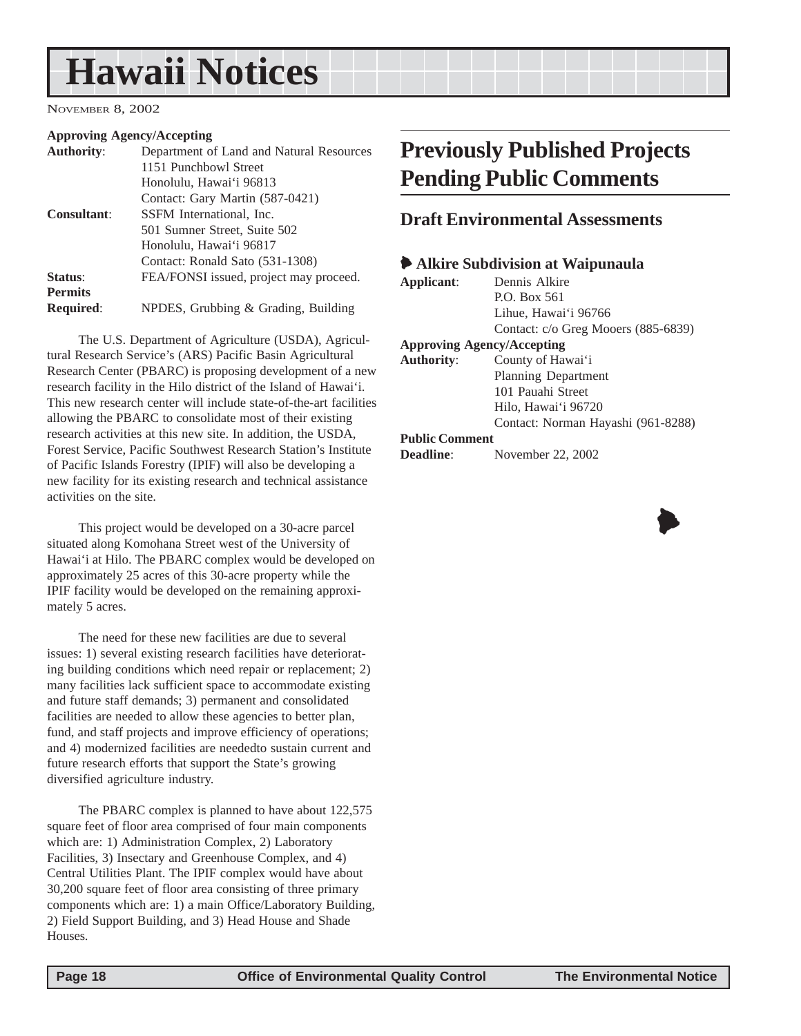## <span id="page-17-0"></span>**Hawaii Notices**

NOVEMBER 8, 2002

#### **Approving Agency/Accepting**

| Department of Land and Natural Resources |
|------------------------------------------|
| 1151 Punchbowl Street                    |
| Honolulu, Hawai'i 96813                  |
| Contact: Gary Martin (587-0421)          |
| SSFM International, Inc.                 |
| 501 Sumner Street, Suite 502             |
| Honolulu, Hawai'i 96817                  |
| Contact: Ronald Sato (531-1308)          |
| FEA/FONSI issued, project may proceed.   |
|                                          |
| NPDES, Grubbing & Grading, Building      |
|                                          |

The U.S. Department of Agriculture (USDA), Agricultural Research Service's (ARS) Pacific Basin Agricultural Research Center (PBARC) is proposing development of a new research facility in the Hilo district of the Island of Hawai'i. This new research center will include state-of-the-art facilities allowing the PBARC to consolidate most of their existing research activities at this new site. In addition, the USDA, Forest Service, Pacific Southwest Research Station's Institute of Pacific Islands Forestry (IPIF) will also be developing a new facility for its existing research and technical assistance activities on the site.

This project would be developed on a 30-acre parcel situated along Komohana Street west of the University of Hawai'i at Hilo. The PBARC complex would be developed on approximately 25 acres of this 30-acre property while the IPIF facility would be developed on the remaining approximately 5 acres.

The need for these new facilities are due to several issues: 1) several existing research facilities have deteriorating building conditions which need repair or replacement; 2) many facilities lack sufficient space to accommodate existing and future staff demands; 3) permanent and consolidated facilities are needed to allow these agencies to better plan, fund, and staff projects and improve efficiency of operations; and 4) modernized facilities are neededto sustain current and future research efforts that support the State's growing diversified agriculture industry.

The PBARC complex is planned to have about 122,575 square feet of floor area comprised of four main components which are: 1) Administration Complex, 2) Laboratory Facilities, 3) Insectary and Greenhouse Complex, and 4) Central Utilities Plant. The IPIF complex would have about 30,200 square feet of floor area consisting of three primary components which are: 1) a main Office/Laboratory Building, 2) Field Support Building, and 3) Head House and Shade Houses.

## **Previously Published Projects Pending Public Comments**

#### **Draft Environmental Assessments**

#### 6 **Alkire Subdivision at Waipunaula**

| Applicant:            | Dennis Alkire                       |
|-----------------------|-------------------------------------|
|                       | P.O. Box 561                        |
|                       | Lihue, Hawai'i 96766                |
|                       | Contact: c/o Greg Mooers (885-6839) |
|                       | <b>Approving Agency/Accepting</b>   |
| <b>Authority:</b>     | County of Hawai'i                   |
|                       | <b>Planning Department</b>          |
|                       | 101 Pauahi Street                   |
|                       | Hilo, Hawai'i 96720                 |
|                       | Contact: Norman Hayashi (961-8288)  |
| <b>Public Comment</b> |                                     |

| <b>Deadline:</b> | November 22, 2002 |  |  |
|------------------|-------------------|--|--|
|------------------|-------------------|--|--|

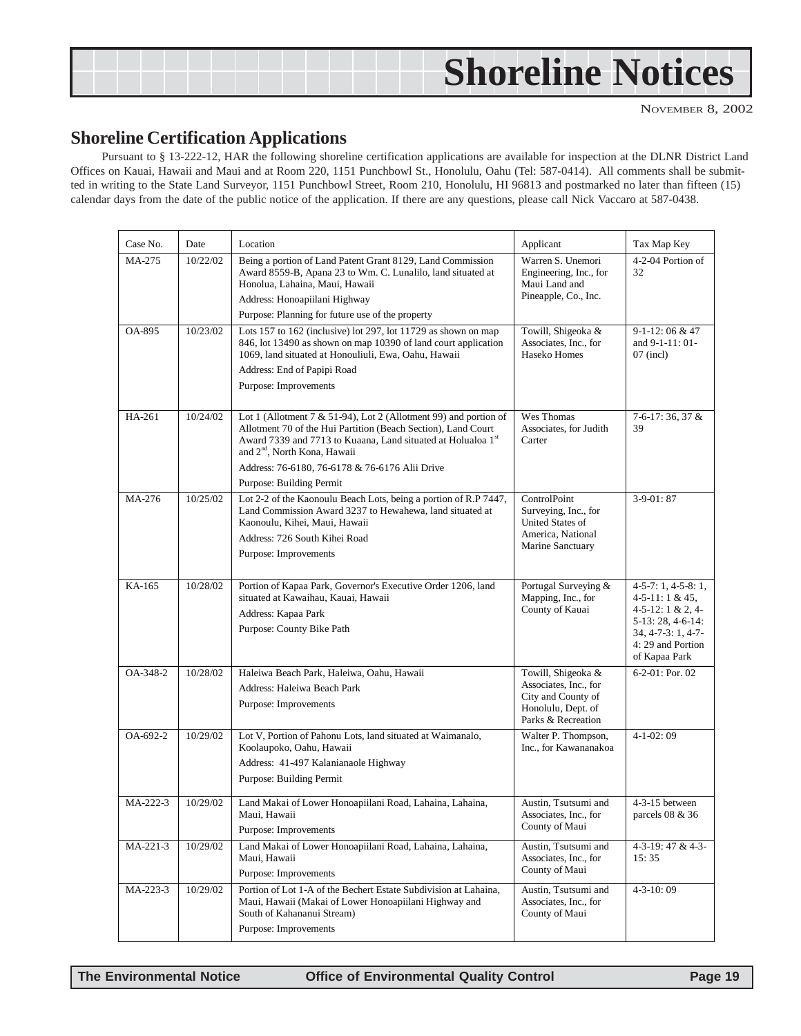<span id="page-18-0"></span>

| <b>Shoreline Notices</b> |  |
|--------------------------|--|
|--------------------------|--|

#### **Shoreline Certification Applications**

Pursuant to § 13-222-12, HAR the following shoreline certification applications are available for inspection at the DLNR District Land Offices on Kauai, Hawaii and Maui and at Room 220, 1151 Punchbowl St., Honolulu, Oahu (Tel: 587-0414). All comments shall be submitted in writing to the State Land Surveyor, 1151 Punchbowl Street, Room 210, Honolulu, HI 96813 and postmarked no later than fifteen (15) calendar days from the date of the public notice of the application. If there are any questions, please call Nick Vaccaro at 587-0438.

| Case No. | Date     | Location                                                                                                                                                                                                                                                                                                                    | Applicant                                                                                                     | Tax Map Key                                                                                                                                           |
|----------|----------|-----------------------------------------------------------------------------------------------------------------------------------------------------------------------------------------------------------------------------------------------------------------------------------------------------------------------------|---------------------------------------------------------------------------------------------------------------|-------------------------------------------------------------------------------------------------------------------------------------------------------|
| MA-275   | 10/22/02 | Being a portion of Land Patent Grant 8129, Land Commission<br>Award 8559-B, Apana 23 to Wm. C. Lunalilo, land situated at<br>Honolua, Lahaina, Maui, Hawaii<br>Address: Honoapiilani Highway<br>Purpose: Planning for future use of the property                                                                            | Warren S. Unemori<br>Engineering, Inc., for<br>Maui Land and<br>Pineapple, Co., Inc.                          | 4-2-04 Portion of<br>32                                                                                                                               |
| OA-895   | 10/23/02 | Lots 157 to 162 (inclusive) lot 297, lot 11729 as shown on map<br>846, lot 13490 as shown on map 10390 of land court application<br>1069, land situated at Honouliuli, Ewa, Oahu, Hawaii<br>Address: End of Papipi Road<br>Purpose: Improvements                                                                            | Towill, Shigeoka &<br>Associates, Inc., for<br>Haseko Homes                                                   | $9-1-12:06 & 47$<br>and 9-1-11: 01-<br>$07$ (incl)                                                                                                    |
| HA-261   | 10/24/02 | Lot 1 (Allotment 7 & 51-94), Lot 2 (Allotment 99) and portion of<br>Allotment 70 of the Hui Partition (Beach Section), Land Court<br>Award 7339 and 7713 to Kuaana, Land situated at Holualoa 1st<br>and 2 <sup>nd</sup> , North Kona, Hawaii<br>Address: 76-6180, 76-6178 & 76-6176 Alii Drive<br>Purpose: Building Permit | Wes Thomas<br>Associates, for Judith<br>Carter                                                                | 7-6-17: 36, 37 &<br>39                                                                                                                                |
| MA-276   | 10/25/02 | Lot 2-2 of the Kaonoulu Beach Lots, being a portion of R.P 7447,<br>Land Commission Award 3237 to Hewahewa, land situated at<br>Kaonoulu, Kihei, Maui, Hawaii<br>Address: 726 South Kihei Road<br>Purpose: Improvements                                                                                                     | ControlPoint<br>Surveying, Inc., for<br><b>United States of</b><br>America, National<br>Marine Sanctuary      | $3-9-01:87$                                                                                                                                           |
| KA-165   | 10/28/02 | Portion of Kapaa Park, Governor's Executive Order 1206, land<br>situated at Kawaihau, Kauai, Hawaii<br>Address: Kapaa Park<br>Purpose: County Bike Path                                                                                                                                                                     | Portugal Surveying &<br>Mapping, Inc., for<br>County of Kauai                                                 | $4-5-7:1, 4-5-8:1,$<br>$4-5-11:1 & 45$<br>$4-5-12:1 & 2, 4$<br>5-13: 28, 4-6-14:<br>$34, 4 - 7 - 3: 1, 4 - 7 -$<br>4: 29 and Portion<br>of Kapaa Park |
| OA-348-2 | 10/28/02 | Haleiwa Beach Park, Haleiwa, Oahu, Hawaii<br>Address: Haleiwa Beach Park<br>Purpose: Improvements                                                                                                                                                                                                                           | Towill, Shigeoka &<br>Associates, Inc., for<br>City and County of<br>Honolulu, Dept. of<br>Parks & Recreation | $6-2-01$ : Por. 02                                                                                                                                    |
| OA-692-2 | 10/29/02 | Lot V, Portion of Pahonu Lots, land situated at Waimanalo,<br>Koolaupoko, Oahu, Hawaii<br>Address: 41-497 Kalanianaole Highway<br>Purpose: Building Permit                                                                                                                                                                  | Walter P. Thompson,<br>Inc., for Kawananakoa                                                                  | $4-1-02:09$                                                                                                                                           |
| MA-222-3 | 10/29/02 | Land Makai of Lower Honoapiilani Road, Lahaina, Lahaina,<br>Maui. Hawaii<br>Purpose: Improvements                                                                                                                                                                                                                           | Austin, Tsutsumi and<br>Associates, Inc., for<br>County of Maui                                               | 4-3-15 between<br>parcels $08\ \&\ 36$                                                                                                                |
| MA-221-3 | 10/29/02 | Land Makai of Lower Honoapiilani Road, Lahaina, Lahaina,<br>Maui, Hawaii<br>Purpose: Improvements                                                                                                                                                                                                                           | Austin, Tsutsumi and<br>Associates, Inc., for<br>County of Maui                                               | 4-3-19: 47 & 4-3-<br>15:35                                                                                                                            |
| MA-223-3 | 10/29/02 | Portion of Lot 1-A of the Bechert Estate Subdivision at Lahaina,<br>Maui, Hawaii (Makai of Lower Honoapiilani Highway and<br>South of Kahananui Stream)<br>Purpose: Improvements                                                                                                                                            | Austin, Tsutsumi and<br>Associates, Inc., for<br>County of Maui                                               | $4 - 3 - 10:09$                                                                                                                                       |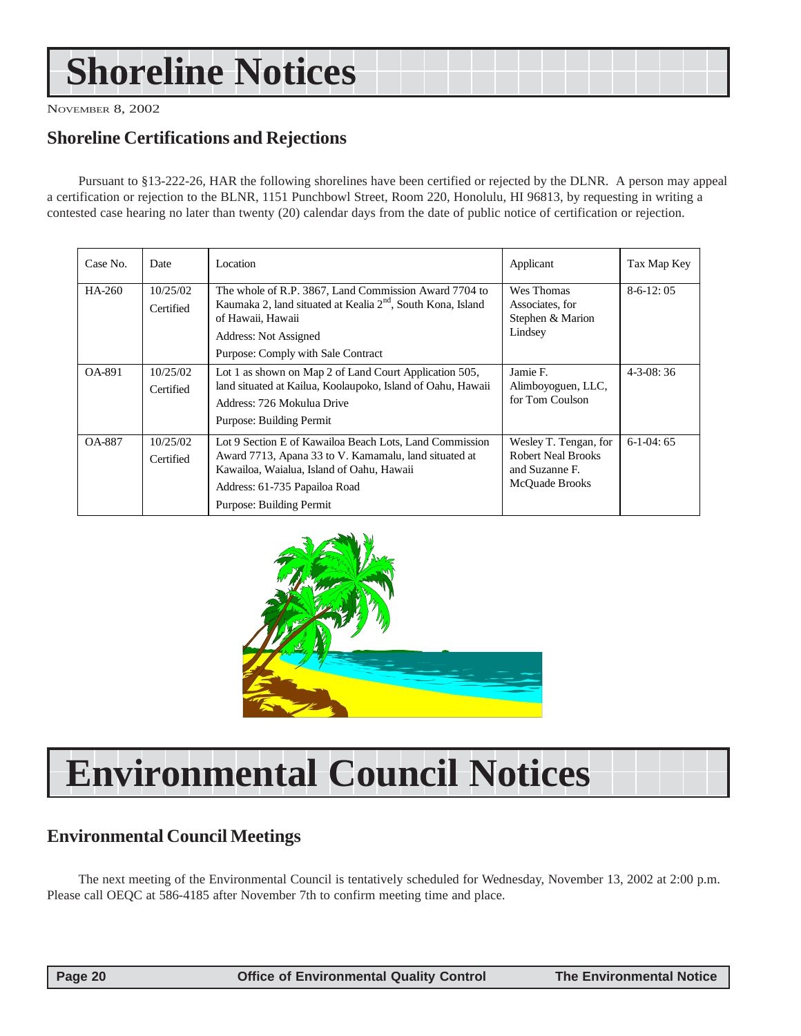## <span id="page-19-0"></span>**Shoreline Notices**

NOVEMBER 8, 2002

### **Shoreline Certifications and Rejections**

Pursuant to §13-222-26, HAR the following shorelines have been certified or rejected by the DLNR. A person may appeal a certification or rejection to the BLNR, 1151 Punchbowl Street, Room 220, Honolulu, HI 96813, by requesting in writing a contested case hearing no later than twenty (20) calendar days from the date of public notice of certification or rejection.

| Case No.      | Date                  | Location                                                                                                                                                                                                                   | Applicant                                                                              | Tax Map Key     |
|---------------|-----------------------|----------------------------------------------------------------------------------------------------------------------------------------------------------------------------------------------------------------------------|----------------------------------------------------------------------------------------|-----------------|
| HA-260        | 10/25/02<br>Certified | The whole of R.P. 3867, Land Commission Award 7704 to<br>Kaumaka 2, land situated at Kealia 2 <sup>nd</sup> , South Kona, Island<br>of Hawaii, Hawaii<br>Address: Not Assigned<br>Purpose: Comply with Sale Contract       | Wes Thomas<br>Associates, for<br>Stephen & Marion<br>Lindsey                           | $8-6-12:05$     |
| OA-891        | 10/25/02<br>Certified | Lot 1 as shown on Map 2 of Land Court Application 505,<br>land situated at Kailua, Koolaupoko, Island of Oahu, Hawaii<br>Address: 726 Mokulua Drive<br>Purpose: Building Permit                                            | Jamie F.<br>Alimboyoguen, LLC,<br>for Tom Coulson                                      | $4 - 3 - 08:36$ |
| <b>OA-887</b> | 10/25/02<br>Certified | Lot 9 Section E of Kawailoa Beach Lots, Land Commission<br>Award 7713, Apana 33 to V. Kamamalu, land situated at<br>Kawailoa, Waialua, Island of Oahu, Hawaii<br>Address: 61-735 Papailoa Road<br>Purpose: Building Permit | Wesley T. Tengan, for<br><b>Robert Neal Brooks</b><br>and Suzanne F.<br>McOuade Brooks | $6-1-04:65$     |



## **Environmental Council Notices**

## **Environmental Council Meetings**

The next meeting of the Environmental Council is tentatively scheduled for Wednesday, November 13, 2002 at 2:00 p.m. Please call OEQC at 586-4185 after November 7th to confirm meeting time and place.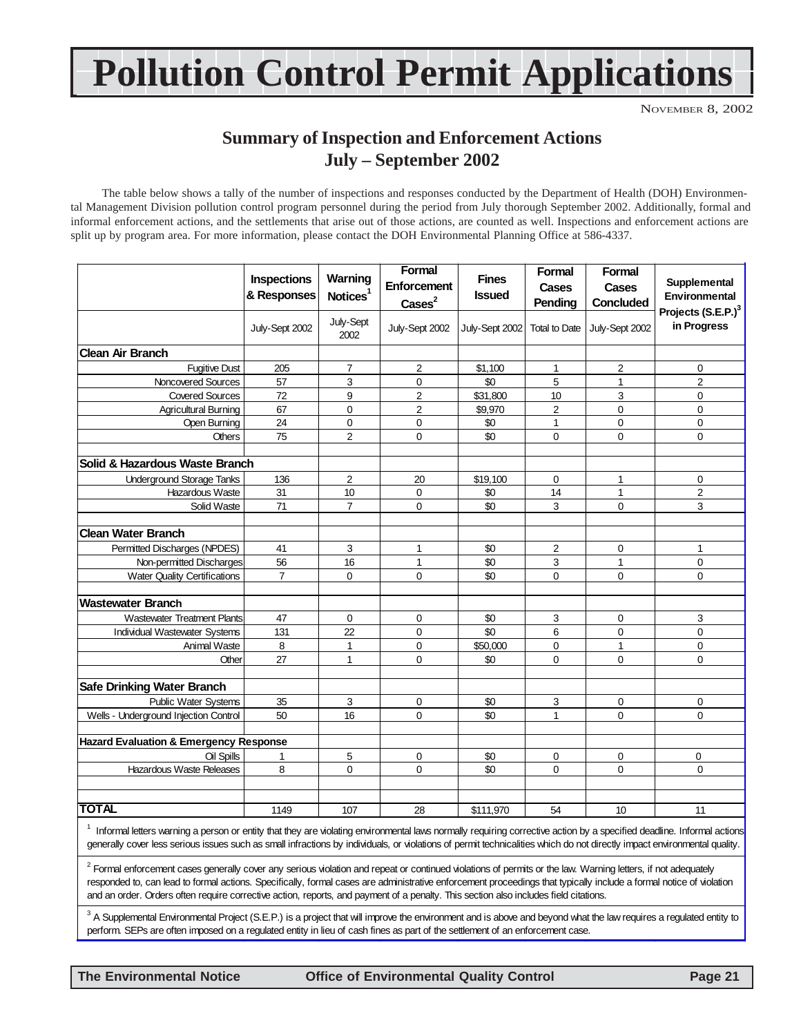## **Pollution Control Permit Applications**

NOVEMBER 8, 2002

### **Summary of Inspection and Enforcement Actions July – September 2002**

The table below shows a tally of the number of inspections and responses conducted by the Department of Health (DOH) Environmental Management Division pollution control program personnel during the period from July thorough September 2002. Additionally, formal and informal enforcement actions, and the settlements that arise out of those actions, are counted as well. Inspections and enforcement actions are split up by program area. For more information, please contact the DOH Environmental Planning Office at 586-4337.

|                                                                                                                                                                                                                                                                                                                                                                                                                                                                                         | Inspections<br>& Responses | Warning<br>Notices <sup>1</sup> | Formal<br>Enforcement<br>$\text{Case}^2$ | <b>Fines</b><br><b>Issued</b> | Formal<br>Cases<br>Pendina | Formal<br><b>Cases</b><br>Concluded | Supplemental<br>Environmental                 |
|-----------------------------------------------------------------------------------------------------------------------------------------------------------------------------------------------------------------------------------------------------------------------------------------------------------------------------------------------------------------------------------------------------------------------------------------------------------------------------------------|----------------------------|---------------------------------|------------------------------------------|-------------------------------|----------------------------|-------------------------------------|-----------------------------------------------|
|                                                                                                                                                                                                                                                                                                                                                                                                                                                                                         | July-Sept 2002             | July-Sept<br>2002               | July-Sept 2002                           | July-Sept 2002                | <b>Total to Date</b>       | July-Sept 2002                      | Projects (S.E.P.) <sup>3</sup><br>in Progress |
| <b>Clean Air Branch</b>                                                                                                                                                                                                                                                                                                                                                                                                                                                                 |                            |                                 |                                          |                               |                            |                                     |                                               |
| <b>Fugitive Dust</b>                                                                                                                                                                                                                                                                                                                                                                                                                                                                    | 205                        | 7                               | 2                                        | \$1,100                       | 1                          | 2                                   | $\mathbf 0$                                   |
| Noncovered Sources                                                                                                                                                                                                                                                                                                                                                                                                                                                                      | 57                         | 3                               | $\mathbf 0$                              | \$0                           | 5                          | 1                                   | $\overline{2}$                                |
| <b>Covered Sources</b>                                                                                                                                                                                                                                                                                                                                                                                                                                                                  | 72                         | 9                               | $\overline{2}$                           | \$31,800                      | 10                         | 3                                   | $\mathbf 0$                                   |
| <b>Agricultural Burning</b>                                                                                                                                                                                                                                                                                                                                                                                                                                                             | 67                         | 0                               | $\overline{2}$                           | \$9,970                       | $\overline{c}$             | 0                                   | $\mathbf 0$                                   |
| Open Burning                                                                                                                                                                                                                                                                                                                                                                                                                                                                            | 24                         | $\mathbf 0$                     | $\mathbf 0$                              | \$0                           | $\mathbf{1}$               | 0                                   | $\mathbf 0$                                   |
| <b>Others</b>                                                                                                                                                                                                                                                                                                                                                                                                                                                                           | 75                         | $\overline{c}$                  | $\mathbf 0$                              | \$0                           | $\mathbf 0$                | 0                                   | 0                                             |
| Solid & Hazardous Waste Branch                                                                                                                                                                                                                                                                                                                                                                                                                                                          |                            |                                 |                                          |                               |                            |                                     |                                               |
| <b>Underground Storage Tanks</b>                                                                                                                                                                                                                                                                                                                                                                                                                                                        | 136                        | $\overline{2}$                  | 20                                       | \$19,100                      | 0                          | 1                                   | 0                                             |
| Hazardous Waste                                                                                                                                                                                                                                                                                                                                                                                                                                                                         | 31                         | 10                              | $\mathbf 0$                              | \$0                           | 14                         | 1                                   | $\overline{c}$                                |
| Solid Waste                                                                                                                                                                                                                                                                                                                                                                                                                                                                             | 71                         | $\overline{7}$                  | $\mathbf 0$                              | \$0                           | 3                          | 0                                   | 3                                             |
| <b>Clean Water Branch</b>                                                                                                                                                                                                                                                                                                                                                                                                                                                               |                            |                                 |                                          |                               |                            |                                     |                                               |
| Permitted Discharges (NPDES)                                                                                                                                                                                                                                                                                                                                                                                                                                                            | 41                         | 3                               | $\mathbf{1}$                             | \$0                           | $\overline{2}$             | 0                                   | $\mathbf{1}$                                  |
| Non-permitted Discharges                                                                                                                                                                                                                                                                                                                                                                                                                                                                | 56                         | 16                              | $\mathbf{1}$                             | \$0                           | 3                          | 1                                   | $\mathbf 0$                                   |
| <b>Water Quality Certifications</b>                                                                                                                                                                                                                                                                                                                                                                                                                                                     | $\overline{7}$             | $\Omega$                        | $\Omega$                                 | \$0                           | $\Omega$                   | $\overline{0}$                      | $\mathbf{0}$                                  |
| <b>Wastewater Branch</b>                                                                                                                                                                                                                                                                                                                                                                                                                                                                |                            |                                 |                                          |                               |                            |                                     |                                               |
| <b>Wastewater Treatment Plants</b>                                                                                                                                                                                                                                                                                                                                                                                                                                                      | 47                         | $\mathbf 0$                     | 0                                        | \$0                           | 3                          | 0                                   | 3                                             |
| <b>Individual Wastewater Systems</b>                                                                                                                                                                                                                                                                                                                                                                                                                                                    | 131                        | 22                              | 0                                        | \$0                           | 6                          | 0                                   | $\mathbf 0$                                   |
| <b>Animal Waste</b>                                                                                                                                                                                                                                                                                                                                                                                                                                                                     | 8                          | 1                               | 0                                        | \$50,000                      | $\mathbf 0$                | 1                                   | 0                                             |
| Other                                                                                                                                                                                                                                                                                                                                                                                                                                                                                   | 27                         | $\mathbf{1}$                    | $\mathbf 0$                              | \$0                           | $\Omega$                   | $\overline{0}$                      | $\Omega$                                      |
| <b>Safe Drinking Water Branch</b>                                                                                                                                                                                                                                                                                                                                                                                                                                                       |                            |                                 |                                          |                               |                            |                                     |                                               |
| Public Water Systems                                                                                                                                                                                                                                                                                                                                                                                                                                                                    | 35                         | 3                               | 0                                        | \$0                           | 3                          | 0                                   | 0                                             |
| Wells - Underground Injection Control                                                                                                                                                                                                                                                                                                                                                                                                                                                   | 50                         | 16                              | $\mathbf 0$                              | \$0                           | $\mathbf{1}$               | 0                                   | $\mathbf 0$                                   |
| <b>Hazard Evaluation &amp; Emergency Response</b>                                                                                                                                                                                                                                                                                                                                                                                                                                       |                            |                                 |                                          |                               |                            |                                     |                                               |
| Oil Spills                                                                                                                                                                                                                                                                                                                                                                                                                                                                              | 1                          | 5                               | $\mathbf 0$                              | \$0                           | $\mathbf 0$                | $\pmb{0}$                           | 0                                             |
| <b>Hazardous Waste Releases</b>                                                                                                                                                                                                                                                                                                                                                                                                                                                         | 8                          | $\overline{0}$                  | $\mathbf 0$                              | \$0                           | $\mathbf 0$                | 0                                   | $\mathbf 0$                                   |
| <b>TOTAL</b>                                                                                                                                                                                                                                                                                                                                                                                                                                                                            | 1149                       | 107                             | 28                                       | \$111,970                     | 54                         | 10                                  | 11                                            |
| Informal letters warning a person or entity that they are violating environmental laws normally requiring corrective action by a specified deadline. Informal actions<br>generally cover less serious issues such as small infractions by individuals, or violations of permit technicalities which do not directly impact environmental quality.                                                                                                                                       |                            |                                 |                                          |                               |                            |                                     |                                               |
| <sup>2</sup> Formal enforcement cases generally cover any serious violation and repeat or continued violations of permits or the law. Warning letters, if not adequately<br>responded to, can lead to formal actions. Specifically, formal cases are administrative enforcement proceedings that typically include a formal notice of violation<br>and an order. Orders often require corrective action, reports, and payment of a penalty. This section also includes field citations, |                            |                                 |                                          |                               |                            |                                     |                                               |

 $^3$  A Supplemental Environmental Project (S.E.P.) is a project that will improve the environment and is above and beyond what the law requires a regulated entity to perform. SEPs are often imposed on a regulated entity in lieu of cash fines as part of the settlement of an enforcement case.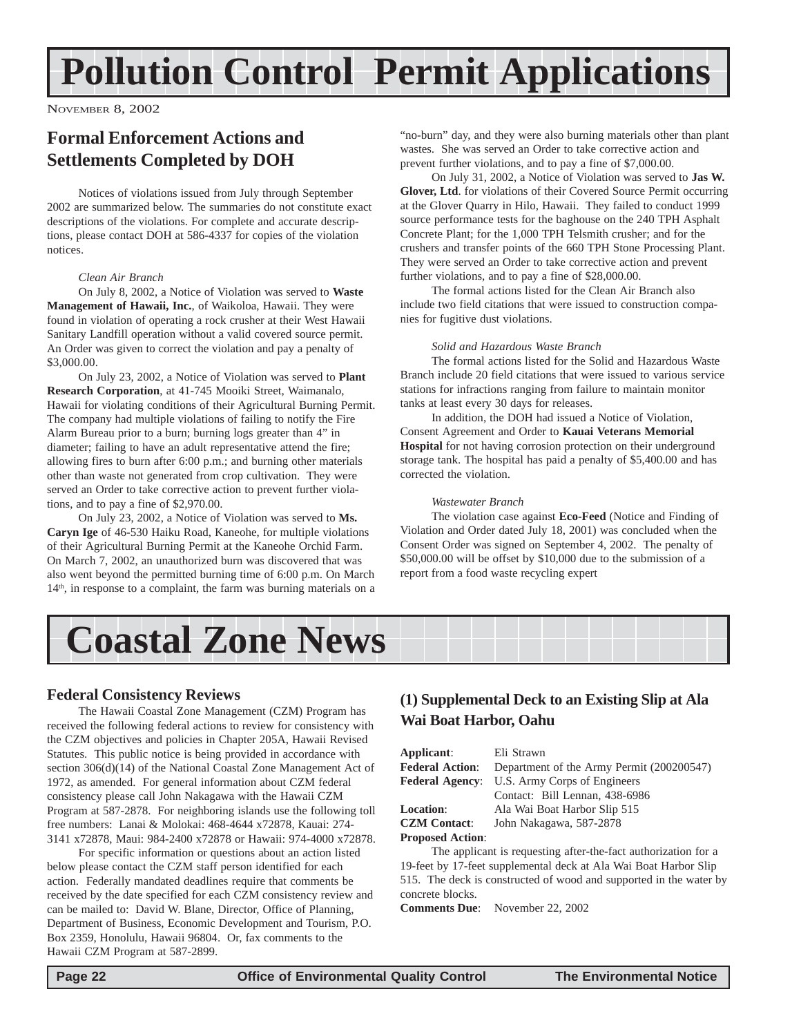## <span id="page-21-0"></span>**Pollution Control Permit Applications**

NOVEMBER 8, 2002

### **Formal Enforcement Actions and Settlements Completed by DOH**

Notices of violations issued from July through September 2002 are summarized below. The summaries do not constitute exact descriptions of the violations. For complete and accurate descriptions, please contact DOH at 586-4337 for copies of the violation notices.

#### *Clean Air Branch*

On July 8, 2002, a Notice of Violation was served to **Waste Management of Hawaii, Inc.**, of Waikoloa, Hawaii. They were found in violation of operating a rock crusher at their West Hawaii Sanitary Landfill operation without a valid covered source permit. An Order was given to correct the violation and pay a penalty of \$3,000.00.

On July 23, 2002, a Notice of Violation was served to **Plant Research Corporation**, at 41-745 Mooiki Street, Waimanalo, Hawaii for violating conditions of their Agricultural Burning Permit. The company had multiple violations of failing to notify the Fire Alarm Bureau prior to a burn; burning logs greater than 4" in diameter; failing to have an adult representative attend the fire; allowing fires to burn after 6:00 p.m.; and burning other materials other than waste not generated from crop cultivation. They were served an Order to take corrective action to prevent further violations, and to pay a fine of \$2,970.00.

On July 23, 2002, a Notice of Violation was served to **Ms. Caryn Ige** of 46-530 Haiku Road, Kaneohe, for multiple violations of their Agricultural Burning Permit at the Kaneohe Orchid Farm. On March 7, 2002, an unauthorized burn was discovered that was also went beyond the permitted burning time of 6:00 p.m. On March  $14<sup>th</sup>$ , in response to a complaint, the farm was burning materials on a "no-burn" day, and they were also burning materials other than plant wastes. She was served an Order to take corrective action and prevent further violations, and to pay a fine of \$7,000.00.

On July 31, 2002, a Notice of Violation was served to **Jas W. Glover, Ltd**. for violations of their Covered Source Permit occurring at the Glover Quarry in Hilo, Hawaii. They failed to conduct 1999 source performance tests for the baghouse on the 240 TPH Asphalt Concrete Plant; for the 1,000 TPH Telsmith crusher; and for the crushers and transfer points of the 660 TPH Stone Processing Plant. They were served an Order to take corrective action and prevent further violations, and to pay a fine of \$28,000.00.

The formal actions listed for the Clean Air Branch also include two field citations that were issued to construction companies for fugitive dust violations.

#### *Solid and Hazardous Waste Branch*

The formal actions listed for the Solid and Hazardous Waste Branch include 20 field citations that were issued to various service stations for infractions ranging from failure to maintain monitor tanks at least every 30 days for releases.

In addition, the DOH had issued a Notice of Violation, Consent Agreement and Order to **Kauai Veterans Memorial Hospital** for not having corrosion protection on their underground storage tank. The hospital has paid a penalty of \$5,400.00 and has corrected the violation.

#### *Wastewater Branch*

The violation case against **Eco-Feed** (Notice and Finding of Violation and Order dated July 18, 2001) was concluded when the Consent Order was signed on September 4, 2002. The penalty of \$50,000.00 will be offset by \$10,000 due to the submission of a report from a food waste recycling expert



#### **Federal Consistency Reviews**

The Hawaii Coastal Zone Management (CZM) Program has received the following federal actions to review for consistency with the CZM objectives and policies in Chapter 205A, Hawaii Revised Statutes. This public notice is being provided in accordance with section 306(d)(14) of the National Coastal Zone Management Act of 1972, as amended. For general information about CZM federal consistency please call John Nakagawa with the Hawaii CZM Program at 587-2878. For neighboring islands use the following toll free numbers: Lanai & Molokai: 468-4644 x72878, Kauai: 274- 3141 x72878, Maui: 984-2400 x72878 or Hawaii: 974-4000 x72878.

For specific information or questions about an action listed below please contact the CZM staff person identified for each action. Federally mandated deadlines require that comments be received by the date specified for each CZM consistency review and can be mailed to: David W. Blane, Director, Office of Planning, Department of Business, Economic Development and Tourism, P.O. Box 2359, Honolulu, Hawaii 96804. Or, fax comments to the Hawaii CZM Program at 587-2899.

#### **(1) Supplemental Deck to an Existing Slip at Ala Wai Boat Harbor, Oahu**

| Applicant:              | Eli Strawn                                |
|-------------------------|-------------------------------------------|
| <b>Federal Action:</b>  | Department of the Army Permit (200200547) |
| <b>Federal Agency:</b>  | U.S. Army Corps of Engineers              |
|                         | Contact: Bill Lennan, 438-6986            |
| <b>Location:</b>        | Ala Wai Boat Harbor Slip 515              |
| <b>CZM Contact:</b>     | John Nakagawa, 587-2878                   |
| <b>Proposed Action:</b> |                                           |

The applicant is requesting after-the-fact authorization for a 19-feet by 17-feet supplemental deck at Ala Wai Boat Harbor Slip 515. The deck is constructed of wood and supported in the water by concrete blocks.

**Comments Due**: November 22, 2002